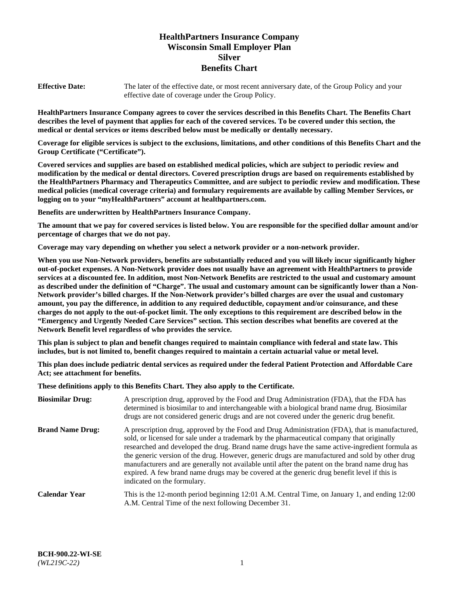# **HealthPartners Insurance Company Wisconsin Small Employer Plan Silver Benefits Chart**

**Effective Date:** The later of the effective date, or most recent anniversary date, of the Group Policy and your effective date of coverage under the Group Policy.

**HealthPartners Insurance Company agrees to cover the services described in this Benefits Chart. The Benefits Chart describes the level of payment that applies for each of the covered services. To be covered under this section, the medical or dental services or items described below must be medically or dentally necessary.**

**Coverage for eligible services is subject to the exclusions, limitations, and other conditions of this Benefits Chart and the Group Certificate ("Certificate").**

**Covered services and supplies are based on established medical policies, which are subject to periodic review and modification by the medical or dental directors. Covered prescription drugs are based on requirements established by the HealthPartners Pharmacy and Therapeutics Committee, and are subject to periodic review and modification. These medical policies (medical coverage criteria) and formulary requirements are available by calling Member Services, or logging on to your "myHealthPartners" account at [healthpartners.com.](https://www.healthpartners.com/hp/index.html)** 

**Benefits are underwritten by HealthPartners Insurance Company.**

**The amount that we pay for covered services is listed below. You are responsible for the specified dollar amount and/or percentage of charges that we do not pay.**

**Coverage may vary depending on whether you select a network provider or a non-network provider.**

**When you use Non-Network providers, benefits are substantially reduced and you will likely incur significantly higher out-of-pocket expenses. A Non-Network provider does not usually have an agreement with HealthPartners to provide services at a discounted fee. In addition, most Non-Network Benefits are restricted to the usual and customary amount as described under the definition of "Charge". The usual and customary amount can be significantly lower than a Non-Network provider's billed charges. If the Non-Network provider's billed charges are over the usual and customary amount, you pay the difference, in addition to any required deductible, copayment and/or coinsurance, and these charges do not apply to the out-of-pocket limit. The only exceptions to this requirement are described below in the "Emergency and Urgently Needed Care Services" section. This section describes what benefits are covered at the Network Benefit level regardless of who provides the service.**

**This plan is subject to plan and benefit changes required to maintain compliance with federal and state law. This includes, but is not limited to, benefit changes required to maintain a certain actuarial value or metal level.**

**This plan does include pediatric dental services as required under the federal Patient Protection and Affordable Care Act; see attachment for benefits.**

**These definitions apply to this Benefits Chart. They also apply to the Certificate.**

| <b>Biosimilar Drug:</b> | A prescription drug, approved by the Food and Drug Administration (FDA), that the FDA has<br>determined is biosimilar to and interchangeable with a biological brand name drug. Biosimilar<br>drugs are not considered generic drugs and are not covered under the generic drug benefit.                                                                                                                                                                                                                                                                                                                                           |
|-------------------------|------------------------------------------------------------------------------------------------------------------------------------------------------------------------------------------------------------------------------------------------------------------------------------------------------------------------------------------------------------------------------------------------------------------------------------------------------------------------------------------------------------------------------------------------------------------------------------------------------------------------------------|
| <b>Brand Name Drug:</b> | A prescription drug, approved by the Food and Drug Administration (FDA), that is manufactured,<br>sold, or licensed for sale under a trademark by the pharmaceutical company that originally<br>researched and developed the drug. Brand name drugs have the same active-ingredient formula as<br>the generic version of the drug. However, generic drugs are manufactured and sold by other drug<br>manufacturers and are generally not available until after the patent on the brand name drug has<br>expired. A few brand name drugs may be covered at the generic drug benefit level if this is<br>indicated on the formulary. |
| <b>Calendar Year</b>    | This is the 12-month period beginning 12:01 A.M. Central Time, on January 1, and ending 12:00<br>A.M. Central Time of the next following December 31.                                                                                                                                                                                                                                                                                                                                                                                                                                                                              |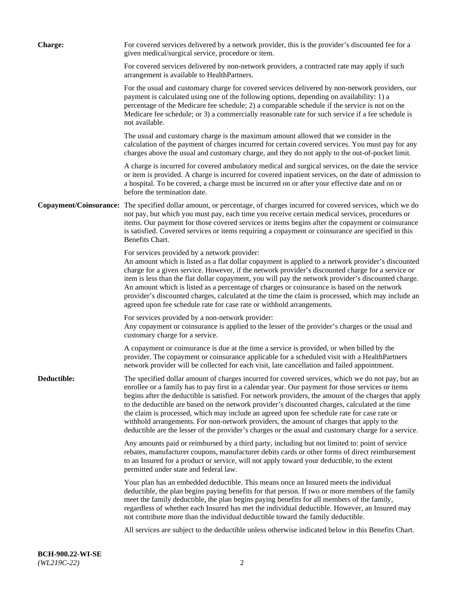| <b>Charge:</b> | For covered services delivered by a network provider, this is the provider's discounted fee for a<br>given medical/surgical service, procedure or item.                                                                                                                                                                                                                                                                                                                                                                                                                                                                                                                                                                 |
|----------------|-------------------------------------------------------------------------------------------------------------------------------------------------------------------------------------------------------------------------------------------------------------------------------------------------------------------------------------------------------------------------------------------------------------------------------------------------------------------------------------------------------------------------------------------------------------------------------------------------------------------------------------------------------------------------------------------------------------------------|
|                | For covered services delivered by non-network providers, a contracted rate may apply if such<br>arrangement is available to HealthPartners.                                                                                                                                                                                                                                                                                                                                                                                                                                                                                                                                                                             |
|                | For the usual and customary charge for covered services delivered by non-network providers, our<br>payment is calculated using one of the following options, depending on availability: 1) a<br>percentage of the Medicare fee schedule; 2) a comparable schedule if the service is not on the<br>Medicare fee schedule; or 3) a commercially reasonable rate for such service if a fee schedule is<br>not available.                                                                                                                                                                                                                                                                                                   |
|                | The usual and customary charge is the maximum amount allowed that we consider in the<br>calculation of the payment of charges incurred for certain covered services. You must pay for any<br>charges above the usual and customary charge, and they do not apply to the out-of-pocket limit.                                                                                                                                                                                                                                                                                                                                                                                                                            |
|                | A charge is incurred for covered ambulatory medical and surgical services, on the date the service<br>or item is provided. A charge is incurred for covered inpatient services, on the date of admission to<br>a hospital. To be covered, a charge must be incurred on or after your effective date and on or<br>before the termination date.                                                                                                                                                                                                                                                                                                                                                                           |
|                | Copayment/Coinsurance: The specified dollar amount, or percentage, of charges incurred for covered services, which we do<br>not pay, but which you must pay, each time you receive certain medical services, procedures or<br>items. Our payment for those covered services or items begins after the copayment or coinsurance<br>is satisfied. Covered services or items requiring a copayment or coinsurance are specified in this<br>Benefits Chart.                                                                                                                                                                                                                                                                 |
|                | For services provided by a network provider:<br>An amount which is listed as a flat dollar copayment is applied to a network provider's discounted<br>charge for a given service. However, if the network provider's discounted charge for a service or<br>item is less than the flat dollar copayment, you will pay the network provider's discounted charge.<br>An amount which is listed as a percentage of charges or coinsurance is based on the network<br>provider's discounted charges, calculated at the time the claim is processed, which may include an<br>agreed upon fee schedule rate for case rate or withhold arrangements.                                                                            |
|                | For services provided by a non-network provider:<br>Any copayment or coinsurance is applied to the lesser of the provider's charges or the usual and<br>customary charge for a service.                                                                                                                                                                                                                                                                                                                                                                                                                                                                                                                                 |
|                | A copayment or coinsurance is due at the time a service is provided, or when billed by the<br>provider. The copayment or coinsurance applicable for a scheduled visit with a HealthPartners<br>network provider will be collected for each visit, late cancellation and failed appointment.                                                                                                                                                                                                                                                                                                                                                                                                                             |
| Deductible:    | The specified dollar amount of charges incurred for covered services, which we do not pay, but an<br>enrollee or a family has to pay first in a calendar year. Our payment for those services or items<br>begins after the deductible is satisfied. For network providers, the amount of the charges that apply<br>to the deductible are based on the network provider's discounted charges, calculated at the time<br>the claim is processed, which may include an agreed upon fee schedule rate for case rate or<br>withhold arrangements. For non-network providers, the amount of charges that apply to the<br>deductible are the lesser of the provider's charges or the usual and customary charge for a service. |
|                | Any amounts paid or reimbursed by a third party, including but not limited to: point of service<br>rebates, manufacturer coupons, manufacturer debits cards or other forms of direct reimbursement<br>to an Insured for a product or service, will not apply toward your deductible, to the extent<br>permitted under state and federal law.                                                                                                                                                                                                                                                                                                                                                                            |
|                | Your plan has an embedded deductible. This means once an Insured meets the individual<br>deductible, the plan begins paying benefits for that person. If two or more members of the family<br>meet the family deductible, the plan begins paying benefits for all members of the family,<br>regardless of whether each Insured has met the individual deductible. However, an Insured may<br>not contribute more than the individual deductible toward the family deductible.                                                                                                                                                                                                                                           |
|                | All services are subject to the deductible unless otherwise indicated below in this Benefits Chart.                                                                                                                                                                                                                                                                                                                                                                                                                                                                                                                                                                                                                     |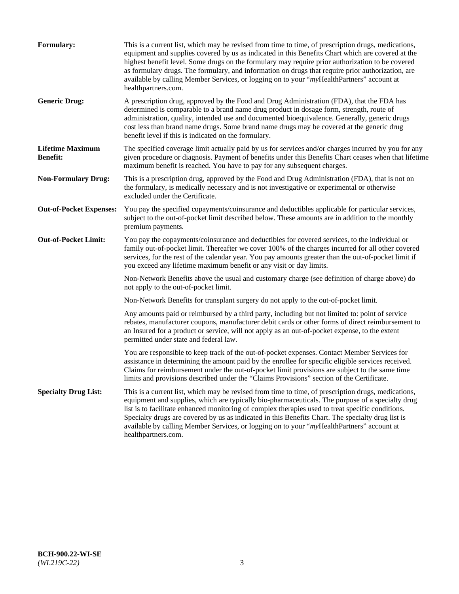| <b>Formulary:</b>                          | This is a current list, which may be revised from time to time, of prescription drugs, medications,<br>equipment and supplies covered by us as indicated in this Benefits Chart which are covered at the<br>highest benefit level. Some drugs on the formulary may require prior authorization to be covered<br>as formulary drugs. The formulary, and information on drugs that require prior authorization, are<br>available by calling Member Services, or logging on to your "myHealthPartners" account at<br>healthpartners.com. |
|--------------------------------------------|---------------------------------------------------------------------------------------------------------------------------------------------------------------------------------------------------------------------------------------------------------------------------------------------------------------------------------------------------------------------------------------------------------------------------------------------------------------------------------------------------------------------------------------|
| <b>Generic Drug:</b>                       | A prescription drug, approved by the Food and Drug Administration (FDA), that the FDA has<br>determined is comparable to a brand name drug product in dosage form, strength, route of<br>administration, quality, intended use and documented bioequivalence. Generally, generic drugs<br>cost less than brand name drugs. Some brand name drugs may be covered at the generic drug<br>benefit level if this is indicated on the formulary.                                                                                           |
| <b>Lifetime Maximum</b><br><b>Benefit:</b> | The specified coverage limit actually paid by us for services and/or charges incurred by you for any<br>given procedure or diagnosis. Payment of benefits under this Benefits Chart ceases when that lifetime<br>maximum benefit is reached. You have to pay for any subsequent charges.                                                                                                                                                                                                                                              |
| <b>Non-Formulary Drug:</b>                 | This is a prescription drug, approved by the Food and Drug Administration (FDA), that is not on<br>the formulary, is medically necessary and is not investigative or experimental or otherwise<br>excluded under the Certificate.                                                                                                                                                                                                                                                                                                     |
| <b>Out-of-Pocket Expenses:</b>             | You pay the specified copayments/coinsurance and deductibles applicable for particular services,<br>subject to the out-of-pocket limit described below. These amounts are in addition to the monthly<br>premium payments.                                                                                                                                                                                                                                                                                                             |
| <b>Out-of-Pocket Limit:</b>                | You pay the copayments/coinsurance and deductibles for covered services, to the individual or<br>family out-of-pocket limit. Thereafter we cover 100% of the charges incurred for all other covered<br>services, for the rest of the calendar year. You pay amounts greater than the out-of-pocket limit if<br>you exceed any lifetime maximum benefit or any visit or day limits.                                                                                                                                                    |
|                                            | Non-Network Benefits above the usual and customary charge (see definition of charge above) do<br>not apply to the out-of-pocket limit.                                                                                                                                                                                                                                                                                                                                                                                                |
|                                            | Non-Network Benefits for transplant surgery do not apply to the out-of-pocket limit.                                                                                                                                                                                                                                                                                                                                                                                                                                                  |
|                                            | Any amounts paid or reimbursed by a third party, including but not limited to: point of service<br>rebates, manufacturer coupons, manufacturer debit cards or other forms of direct reimbursement to<br>an Insured for a product or service, will not apply as an out-of-pocket expense, to the extent<br>permitted under state and federal law.                                                                                                                                                                                      |
|                                            | You are responsible to keep track of the out-of-pocket expenses. Contact Member Services for<br>assistance in determining the amount paid by the enrollee for specific eligible services received.<br>Claims for reimbursement under the out-of-pocket limit provisions are subject to the same time<br>limits and provisions described under the "Claims Provisions" section of the Certificate.                                                                                                                                     |
| <b>Specialty Drug List:</b>                | This is a current list, which may be revised from time to time, of prescription drugs, medications,<br>equipment and supplies, which are typically bio-pharmaceuticals. The purpose of a specialty drug<br>list is to facilitate enhanced monitoring of complex therapies used to treat specific conditions.<br>Specialty drugs are covered by us as indicated in this Benefits Chart. The specialty drug list is<br>available by calling Member Services, or logging on to your "myHealthPartners" account at<br>healthpartners.com. |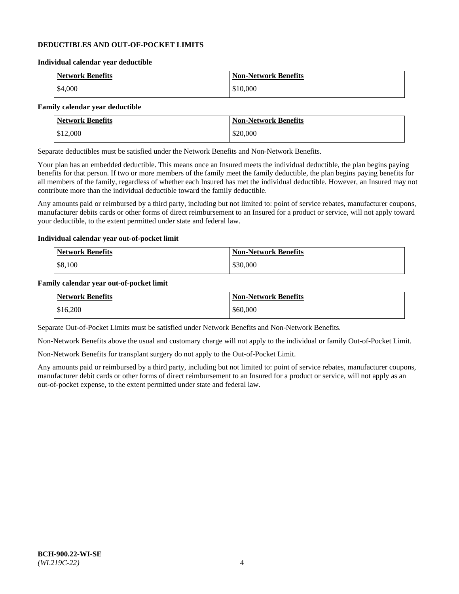### **DEDUCTIBLES AND OUT-OF-POCKET LIMITS**

#### **Individual calendar year deductible**

| <b>Network Benefits</b> | <b>Non-Network Benefits</b> |
|-------------------------|-----------------------------|
| \$4,000                 | \$10,000                    |

### **Family calendar year deductible**

| <b>Network Benefits</b> | <b>Non-Network Benefits</b> |
|-------------------------|-----------------------------|
| \$12,000                | \$20,000                    |

Separate deductibles must be satisfied under the Network Benefits and Non-Network Benefits.

Your plan has an embedded deductible. This means once an Insured meets the individual deductible, the plan begins paying benefits for that person. If two or more members of the family meet the family deductible, the plan begins paying benefits for all members of the family, regardless of whether each Insured has met the individual deductible. However, an Insured may not contribute more than the individual deductible toward the family deductible.

Any amounts paid or reimbursed by a third party, including but not limited to: point of service rebates, manufacturer coupons, manufacturer debits cards or other forms of direct reimbursement to an Insured for a product or service, will not apply toward your deductible, to the extent permitted under state and federal law.

#### **Individual calendar year out-of-pocket limit**

| Network Benefits | <b>Non-Network Benefits</b> |
|------------------|-----------------------------|
| \$8,100          | \$30,000                    |

#### **Family calendar year out-of-pocket limit**

| <b>Network Benefits</b> | <b>Non-Network Benefits</b> |
|-------------------------|-----------------------------|
| \$16,200                | \$60,000                    |

Separate Out-of-Pocket Limits must be satisfied under Network Benefits and Non-Network Benefits.

Non-Network Benefits above the usual and customary charge will not apply to the individual or family Out-of-Pocket Limit.

Non-Network Benefits for transplant surgery do not apply to the Out-of-Pocket Limit.

Any amounts paid or reimbursed by a third party, including but not limited to: point of service rebates, manufacturer coupons, manufacturer debit cards or other forms of direct reimbursement to an Insured for a product or service, will not apply as an out-of-pocket expense, to the extent permitted under state and federal law.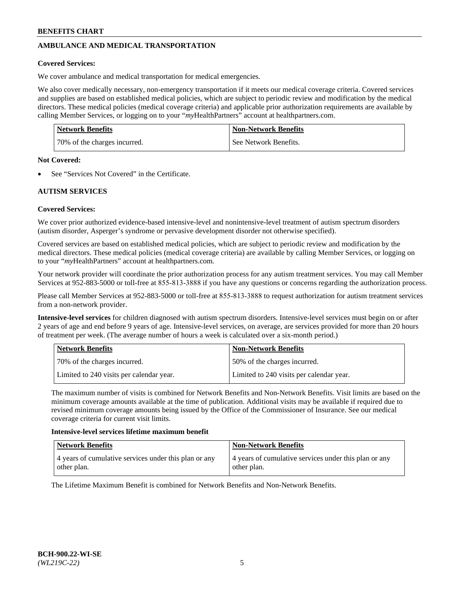# **AMBULANCE AND MEDICAL TRANSPORTATION**

### **Covered Services:**

We cover ambulance and medical transportation for medical emergencies.

We also cover medically necessary, non-emergency transportation if it meets our medical coverage criteria. Covered services and supplies are based on established medical policies, which are subject to periodic review and modification by the medical directors. These medical policies (medical coverage criteria) and applicable prior authorization requirements are available by calling Member Services, or logging on to your "*my*HealthPartners" account a[t healthpartners.com.](https://www.healthpartners.com/hp/index.html)

| <b>Network Benefits</b>      | <b>Non-Network Benefits</b> |
|------------------------------|-----------------------------|
| 70% of the charges incurred. | See Network Benefits.       |

#### **Not Covered:**

See "Services Not Covered" in the Certificate.

# **AUTISM SERVICES**

## **Covered Services:**

We cover prior authorized evidence-based intensive-level and nonintensive-level treatment of autism spectrum disorders (autism disorder, Asperger's syndrome or pervasive development disorder not otherwise specified).

Covered services are based on established medical policies, which are subject to periodic review and modification by the medical directors. These medical policies (medical coverage criteria) are available by calling Member Services, or logging on to your "*my*HealthPartners" account at [healthpartners.com.](https://www.healthpartners.com/hp/index.html)

Your network provider will coordinate the prior authorization process for any autism treatment services. You may call Member Services at 952-883-5000 or toll-free at 855-813-3888 if you have any questions or concerns regarding the authorization process.

Please call Member Services at 952-883-5000 or toll-free at 855-813-3888 to request authorization for autism treatment services from a non-network provider.

**Intensive-level services** for children diagnosed with autism spectrum disorders. Intensive-level services must begin on or after 2 years of age and end before 9 years of age. Intensive-level services, on average, are services provided for more than 20 hours of treatment per week. (The average number of hours a week is calculated over a six-month period.)

| Network Benefits                         | <b>Non-Network Benefits</b>              |
|------------------------------------------|------------------------------------------|
| 70% of the charges incurred.             | 50% of the charges incurred.             |
| Limited to 240 visits per calendar year. | Limited to 240 visits per calendar year. |

The maximum number of visits is combined for Network Benefits and Non-Network Benefits. Visit limits are based on the minimum coverage amounts available at the time of publication. Additional visits may be available if required due to revised minimum coverage amounts being issued by the Office of the Commissioner of Insurance. See our medical coverage criteria for current visit limits.

#### **Intensive-level services lifetime maximum benefit**

| Network Benefits                                                     | <b>Non-Network Benefits</b>                                          |
|----------------------------------------------------------------------|----------------------------------------------------------------------|
| 4 years of cumulative services under this plan or any<br>other plan. | 4 years of cumulative services under this plan or any<br>other plan. |

The Lifetime Maximum Benefit is combined for Network Benefits and Non-Network Benefits.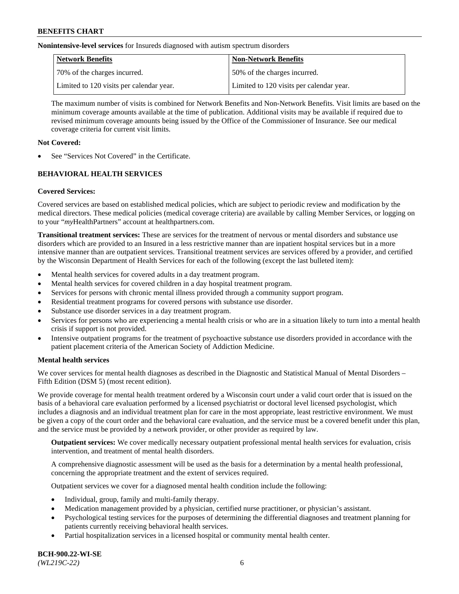**Nonintensive-level services** for Insureds diagnosed with autism spectrum disorders

| Network Benefits                         | <b>Non-Network Benefits</b>              |
|------------------------------------------|------------------------------------------|
| 70% of the charges incurred.             | 50% of the charges incurred.             |
| Limited to 120 visits per calendar year. | Limited to 120 visits per calendar year. |

The maximum number of visits is combined for Network Benefits and Non-Network Benefits. Visit limits are based on the minimum coverage amounts available at the time of publication. Additional visits may be available if required due to revised minimum coverage amounts being issued by the Office of the Commissioner of Insurance. See our medical coverage criteria for current visit limits.

## **Not Covered:**

See "Services Not Covered" in the Certificate.

# **BEHAVIORAL HEALTH SERVICES**

## **Covered Services:**

Covered services are based on established medical policies, which are subject to periodic review and modification by the medical directors. These medical policies (medical coverage criteria) are available by calling Member Services, or logging on to your "*my*HealthPartners" account at [healthpartners.com.](https://www.healthpartners.com/hp/index.html)

**Transitional treatment services:** These are services for the treatment of nervous or mental disorders and substance use disorders which are provided to an Insured in a less restrictive manner than are inpatient hospital services but in a more intensive manner than are outpatient services. Transitional treatment services are services offered by a provider, and certified by the Wisconsin Department of Health Services for each of the following (except the last bulleted item):

- Mental health services for covered adults in a day treatment program.
- Mental health services for covered children in a day hospital treatment program.
- Services for persons with chronic mental illness provided through a community support program.
- Residential treatment programs for covered persons with substance use disorder.
- Substance use disorder services in a day treatment program.
- Services for persons who are experiencing a mental health crisis or who are in a situation likely to turn into a mental health crisis if support is not provided.
- Intensive outpatient programs for the treatment of psychoactive substance use disorders provided in accordance with the patient placement criteria of the American Society of Addiction Medicine.

## **Mental health services**

We cover services for mental health diagnoses as described in the Diagnostic and Statistical Manual of Mental Disorders – Fifth Edition (DSM 5) (most recent edition).

We provide coverage for mental health treatment ordered by a Wisconsin court under a valid court order that is issued on the basis of a behavioral care evaluation performed by a licensed psychiatrist or doctoral level licensed psychologist, which includes a diagnosis and an individual treatment plan for care in the most appropriate, least restrictive environment. We must be given a copy of the court order and the behavioral care evaluation, and the service must be a covered benefit under this plan, and the service must be provided by a network provider, or other provider as required by law.

**Outpatient services:** We cover medically necessary outpatient professional mental health services for evaluation, crisis intervention, and treatment of mental health disorders.

A comprehensive diagnostic assessment will be used as the basis for a determination by a mental health professional, concerning the appropriate treatment and the extent of services required.

Outpatient services we cover for a diagnosed mental health condition include the following:

- Individual, group, family and multi-family therapy.
- Medication management provided by a physician, certified nurse practitioner, or physician's assistant.
- Psychological testing services for the purposes of determining the differential diagnoses and treatment planning for patients currently receiving behavioral health services.
- Partial hospitalization services in a licensed hospital or community mental health center.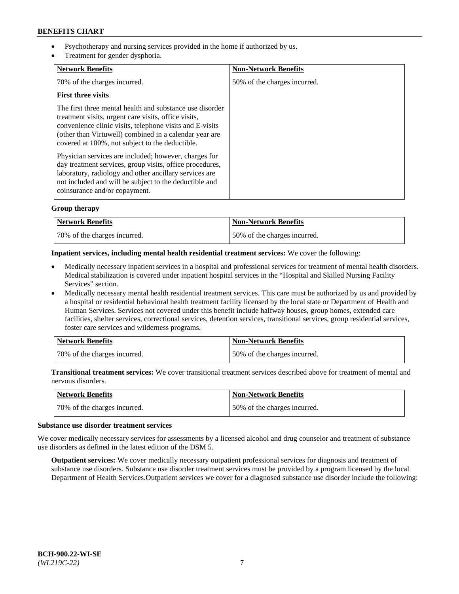- Psychotherapy and nursing services provided in the home if authorized by us.
- Treatment for gender dysphoria.

| <b>Network Benefits</b>                                                                                                                                                                                                                                                                   | <b>Non-Network Benefits</b>  |
|-------------------------------------------------------------------------------------------------------------------------------------------------------------------------------------------------------------------------------------------------------------------------------------------|------------------------------|
| 70% of the charges incurred.                                                                                                                                                                                                                                                              | 50% of the charges incurred. |
| <b>First three visits</b>                                                                                                                                                                                                                                                                 |                              |
| The first three mental health and substance use disorder<br>treatment visits, urgent care visits, office visits,<br>convenience clinic visits, telephone visits and E-visits<br>(other than Virtuwell) combined in a calendar year are<br>covered at 100%, not subject to the deductible. |                              |
| Physician services are included; however, charges for<br>day treatment services, group visits, office procedures,<br>laboratory, radiology and other ancillary services are<br>not included and will be subject to the deductible and<br>coinsurance and/or copayment.                    |                              |

## **Group therapy**

| Network Benefits             | <b>Non-Network Benefits</b>  |
|------------------------------|------------------------------|
| 70% of the charges incurred. | 50% of the charges incurred. |

### **Inpatient services, including mental health residential treatment services:** We cover the following:

- Medically necessary inpatient services in a hospital and professional services for treatment of mental health disorders. Medical stabilization is covered under inpatient hospital services in the "Hospital and Skilled Nursing Facility Services" section.
- Medically necessary mental health residential treatment services. This care must be authorized by us and provided by a hospital or residential behavioral health treatment facility licensed by the local state or Department of Health and Human Services. Services not covered under this benefit include halfway houses, group homes, extended care facilities, shelter services, correctional services, detention services, transitional services, group residential services, foster care services and wilderness programs.

| Network Benefits             | <b>Non-Network Benefits</b>  |
|------------------------------|------------------------------|
| 70% of the charges incurred. | 50% of the charges incurred. |

**Transitional treatment services:** We cover transitional treatment services described above for treatment of mental and nervous disorders.

| Network Benefits             | <b>Non-Network Benefits</b>  |
|------------------------------|------------------------------|
| 70% of the charges incurred. | 50% of the charges incurred. |

#### **Substance use disorder treatment services**

We cover medically necessary services for assessments by a licensed alcohol and drug counselor and treatment of substance use disorders as defined in the latest edition of the DSM 5.

**Outpatient services:** We cover medically necessary outpatient professional services for diagnosis and treatment of substance use disorders. Substance use disorder treatment services must be provided by a program licensed by the local Department of Health Services.Outpatient services we cover for a diagnosed substance use disorder include the following: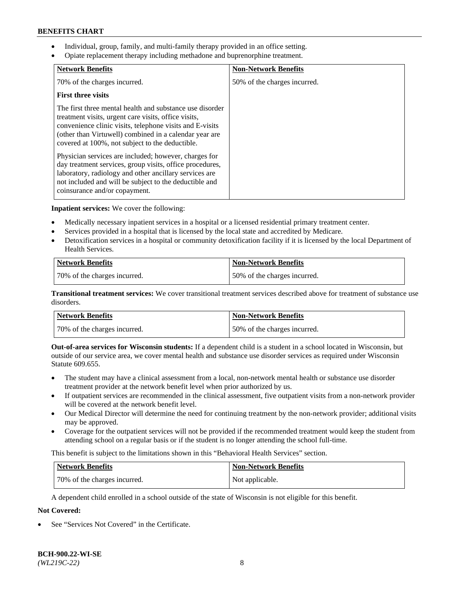- Individual, group, family, and multi-family therapy provided in an office setting.
- Opiate replacement therapy including methadone and buprenorphine treatment.

| <b>Network Benefits</b>                                                                                                                                                                                                                                                                   | <b>Non-Network Benefits</b>  |
|-------------------------------------------------------------------------------------------------------------------------------------------------------------------------------------------------------------------------------------------------------------------------------------------|------------------------------|
| 70% of the charges incurred.                                                                                                                                                                                                                                                              | 50% of the charges incurred. |
| <b>First three visits</b>                                                                                                                                                                                                                                                                 |                              |
| The first three mental health and substance use disorder<br>treatment visits, urgent care visits, office visits,<br>convenience clinic visits, telephone visits and E-visits<br>(other than Virtuwell) combined in a calendar year are<br>covered at 100%, not subject to the deductible. |                              |
| Physician services are included; however, charges for<br>day treatment services, group visits, office procedures,<br>laboratory, radiology and other ancillary services are<br>not included and will be subject to the deductible and<br>coinsurance and/or copayment.                    |                              |

**Inpatient services:** We cover the following:

- Medically necessary inpatient services in a hospital or a licensed residential primary treatment center.
- Services provided in a hospital that is licensed by the local state and accredited by Medicare.
- Detoxification services in a hospital or community detoxification facility if it is licensed by the local Department of Health Services.

| <b>Network Benefits</b>      | <b>Non-Network Benefits</b>  |
|------------------------------|------------------------------|
| 70% of the charges incurred. | 50% of the charges incurred. |

**Transitional treatment services:** We cover transitional treatment services described above for treatment of substance use disorders.

| Network Benefits             | <b>Non-Network Benefits</b>  |
|------------------------------|------------------------------|
| 70% of the charges incurred. | 50% of the charges incurred. |

**Out-of-area services for Wisconsin students:** If a dependent child is a student in a school located in Wisconsin, but outside of our service area, we cover mental health and substance use disorder services as required under Wisconsin Statute 609.655.

- The student may have a clinical assessment from a local, non-network mental health or substance use disorder treatment provider at the network benefit level when prior authorized by us.
- If outpatient services are recommended in the clinical assessment, five outpatient visits from a non-network provider will be covered at the network benefit level.
- Our Medical Director will determine the need for continuing treatment by the non-network provider; additional visits may be approved.
- Coverage for the outpatient services will not be provided if the recommended treatment would keep the student from attending school on a regular basis or if the student is no longer attending the school full-time.

This benefit is subject to the limitations shown in this "Behavioral Health Services" section.

| Network Benefits             | <b>Non-Network Benefits</b> |
|------------------------------|-----------------------------|
| 70% of the charges incurred. | Not applicable.             |

A dependent child enrolled in a school outside of the state of Wisconsin is not eligible for this benefit.

# **Not Covered:**

See "Services Not Covered" in the Certificate.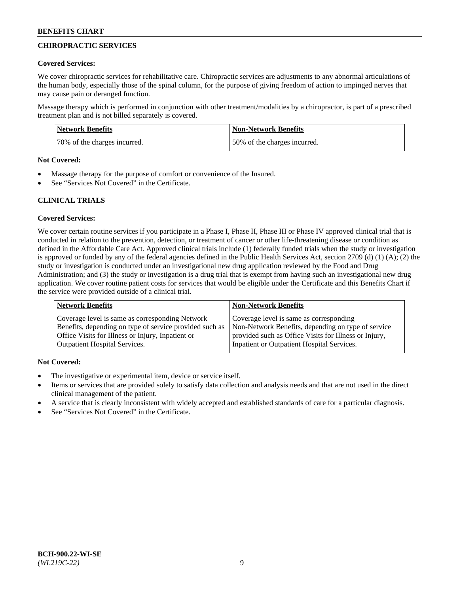# **CHIROPRACTIC SERVICES**

### **Covered Services:**

We cover chiropractic services for rehabilitative care. Chiropractic services are adjustments to any abnormal articulations of the human body, especially those of the spinal column, for the purpose of giving freedom of action to impinged nerves that may cause pain or deranged function.

Massage therapy which is performed in conjunction with other treatment/modalities by a chiropractor, is part of a prescribed treatment plan and is not billed separately is covered.

| <b>Network Benefits</b>      | Non-Network Benefits         |
|------------------------------|------------------------------|
| 70% of the charges incurred. | 50% of the charges incurred. |

#### **Not Covered:**

- Massage therapy for the purpose of comfort or convenience of the Insured.
- See "Services Not Covered" in the Certificate.

# **CLINICAL TRIALS**

## **Covered Services:**

We cover certain routine services if you participate in a Phase I, Phase II, Phase III or Phase IV approved clinical trial that is conducted in relation to the prevention, detection, or treatment of cancer or other life-threatening disease or condition as defined in the Affordable Care Act. Approved clinical trials include (1) federally funded trials when the study or investigation is approved or funded by any of the federal agencies defined in the Public Health Services Act, section 2709 (d) (1) (A); (2) the study or investigation is conducted under an investigational new drug application reviewed by the Food and Drug Administration; and (3) the study or investigation is a drug trial that is exempt from having such an investigational new drug application. We cover routine patient costs for services that would be eligible under the Certificate and this Benefits Chart if the service were provided outside of a clinical trial.

| <b>Network Benefits</b>                                 | <b>Non-Network Benefits</b>                           |
|---------------------------------------------------------|-------------------------------------------------------|
| Coverage level is same as corresponding Network         | Coverage level is same as corresponding               |
| Benefits, depending on type of service provided such as | Non-Network Benefits, depending on type of service    |
| Office Visits for Illness or Injury, Inpatient or       | provided such as Office Visits for Illness or Injury, |
| <b>Outpatient Hospital Services.</b>                    | Inpatient or Outpatient Hospital Services.            |

## **Not Covered:**

- The investigative or experimental item, device or service itself.
- Items or services that are provided solely to satisfy data collection and analysis needs and that are not used in the direct clinical management of the patient.
- A service that is clearly inconsistent with widely accepted and established standards of care for a particular diagnosis.
- See "Services Not Covered" in the Certificate.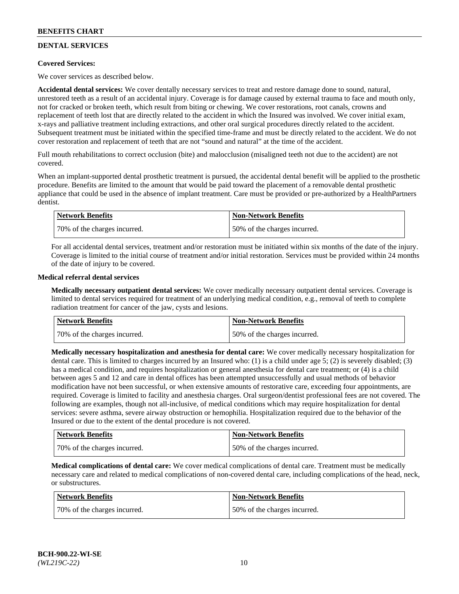# **DENTAL SERVICES**

## **Covered Services:**

We cover services as described below.

**Accidental dental services:** We cover dentally necessary services to treat and restore damage done to sound, natural, unrestored teeth as a result of an accidental injury. Coverage is for damage caused by external trauma to face and mouth only, not for cracked or broken teeth, which result from biting or chewing. We cover restorations, root canals, crowns and replacement of teeth lost that are directly related to the accident in which the Insured was involved. We cover initial exam, x-rays and palliative treatment including extractions, and other oral surgical procedures directly related to the accident. Subsequent treatment must be initiated within the specified time-frame and must be directly related to the accident. We do not cover restoration and replacement of teeth that are not "sound and natural" at the time of the accident.

Full mouth rehabilitations to correct occlusion (bite) and malocclusion (misaligned teeth not due to the accident) are not covered.

When an implant-supported dental prosthetic treatment is pursued, the accidental dental benefit will be applied to the prosthetic procedure. Benefits are limited to the amount that would be paid toward the placement of a removable dental prosthetic appliance that could be used in the absence of implant treatment. Care must be provided or pre-authorized by a HealthPartners dentist.

| Network Benefits              | <b>Non-Network Benefits</b>  |
|-------------------------------|------------------------------|
| 170% of the charges incurred. | 50% of the charges incurred. |

For all accidental dental services, treatment and/or restoration must be initiated within six months of the date of the injury. Coverage is limited to the initial course of treatment and/or initial restoration. Services must be provided within 24 months of the date of injury to be covered.

### **Medical referral dental services**

**Medically necessary outpatient dental services:** We cover medically necessary outpatient dental services. Coverage is limited to dental services required for treatment of an underlying medical condition, e.g., removal of teeth to complete radiation treatment for cancer of the jaw, cysts and lesions.

| Network Benefits             | <b>Non-Network Benefits</b>  |
|------------------------------|------------------------------|
| 70% of the charges incurred. | 50% of the charges incurred. |

**Medically necessary hospitalization and anesthesia for dental care:** We cover medically necessary hospitalization for dental care. This is limited to charges incurred by an Insured who: (1) is a child under age  $5$ ; (2) is severely disabled; (3) has a medical condition, and requires hospitalization or general anesthesia for dental care treatment; or (4) is a child between ages 5 and 12 and care in dental offices has been attempted unsuccessfully and usual methods of behavior modification have not been successful, or when extensive amounts of restorative care, exceeding four appointments, are required. Coverage is limited to facility and anesthesia charges. Oral surgeon/dentist professional fees are not covered. The following are examples, though not all-inclusive, of medical conditions which may require hospitalization for dental services: severe asthma, severe airway obstruction or hemophilia. Hospitalization required due to the behavior of the Insured or due to the extent of the dental procedure is not covered.

| Network Benefits             | <b>Non-Network Benefits</b>  |
|------------------------------|------------------------------|
| 70% of the charges incurred. | 50% of the charges incurred. |

**Medical complications of dental care:** We cover medical complications of dental care. Treatment must be medically necessary care and related to medical complications of non-covered dental care, including complications of the head, neck, or substructures.

| Network Benefits             | <b>Non-Network Benefits</b>  |
|------------------------------|------------------------------|
| 70% of the charges incurred. | 50% of the charges incurred. |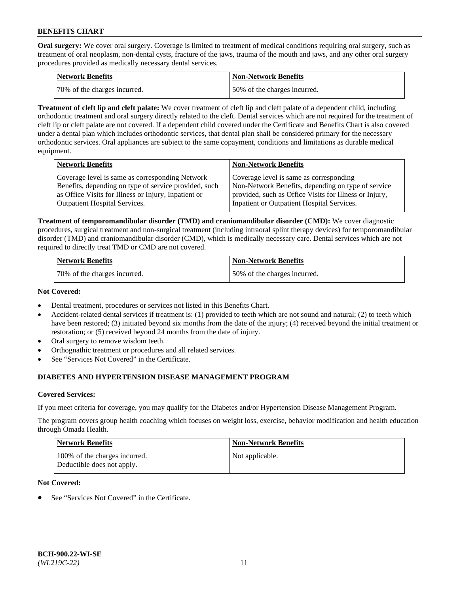**Oral surgery:** We cover oral surgery. Coverage is limited to treatment of medical conditions requiring oral surgery, such as treatment of oral neoplasm, non-dental cysts, fracture of the jaws, trauma of the mouth and jaws, and any other oral surgery procedures provided as medically necessary dental services.

| <b>Network Benefits</b>      | <b>Non-Network Benefits</b>  |
|------------------------------|------------------------------|
| 70% of the charges incurred. | 50% of the charges incurred. |

**Treatment of cleft lip and cleft palate:** We cover treatment of cleft lip and cleft palate of a dependent child, including orthodontic treatment and oral surgery directly related to the cleft. Dental services which are not required for the treatment of cleft lip or cleft palate are not covered. If a dependent child covered under the Certificate and Benefits Chart is also covered under a dental plan which includes orthodontic services, that dental plan shall be considered primary for the necessary orthodontic services. Oral appliances are subject to the same copayment, conditions and limitations as durable medical equipment.

| <b>Network Benefits</b>                               | <b>Non-Network Benefits</b>                            |
|-------------------------------------------------------|--------------------------------------------------------|
| Coverage level is same as corresponding Network       | Coverage level is same as corresponding                |
| Benefits, depending on type of service provided, such | Non-Network Benefits, depending on type of service     |
| as Office Visits for Illness or Injury, Inpatient or  | provided, such as Office Visits for Illness or Injury, |
| <b>Outpatient Hospital Services.</b>                  | Inpatient or Outpatient Hospital Services.             |

**Treatment of temporomandibular disorder (TMD) and craniomandibular disorder (CMD):** We cover diagnostic procedures, surgical treatment and non-surgical treatment (including intraoral splint therapy devices) for temporomandibular disorder (TMD) and craniomandibular disorder (CMD), which is medically necessary care. Dental services which are not required to directly treat TMD or CMD are not covered.

| <b>Network Benefits</b>      | <b>Non-Network Benefits</b>  |
|------------------------------|------------------------------|
| 70% of the charges incurred. | 50% of the charges incurred. |

### **Not Covered:**

- Dental treatment, procedures or services not listed in this Benefits Chart.
- Accident-related dental services if treatment is: (1) provided to teeth which are not sound and natural; (2) to teeth which have been restored; (3) initiated beyond six months from the date of the injury; (4) received beyond the initial treatment or restoration; or (5) received beyond 24 months from the date of injury.
- Oral surgery to remove wisdom teeth.
- Orthognathic treatment or procedures and all related services.
- See "Services Not Covered" in the Certificate.

# **DIABETES AND HYPERTENSION DISEASE MANAGEMENT PROGRAM**

## **Covered Services:**

If you meet criteria for coverage, you may qualify for the Diabetes and/or Hypertension Disease Management Program.

The program covers group health coaching which focuses on weight loss, exercise, behavior modification and health education through Omada Health.

| <b>Network Benefits</b>                                     | <b>Non-Network Benefits</b> |
|-------------------------------------------------------------|-----------------------------|
| 100% of the charges incurred.<br>Deductible does not apply. | Not applicable.             |

## **Not Covered:**

See "Services Not Covered" in the Certificate.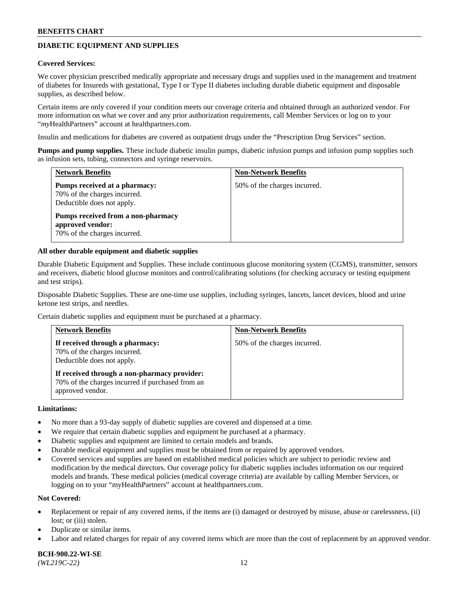# **DIABETIC EQUIPMENT AND SUPPLIES**

#### **Covered Services:**

We cover physician prescribed medically appropriate and necessary drugs and supplies used in the management and treatment of diabetes for Insureds with gestational, Type I or Type II diabetes including durable diabetic equipment and disposable supplies, as described below.

Certain items are only covered if your condition meets our coverage criteria and obtained through an authorized vendor. For more information on what we cover and any prior authorization requirements, call Member Services or log on to your "*my*HealthPartners" account at [healthpartners.com.](http://www.healthpartners.com/)

Insulin and medications for diabetes are covered as outpatient drugs under the "Prescription Drug Services" section.

**Pumps and pump supplies.** These include diabetic insulin pumps, diabetic infusion pumps and infusion pump supplies such as infusion sets, tubing, connectors and syringe reservoirs.

| <b>Network Benefits</b>                                                                     | <b>Non-Network Benefits</b>  |
|---------------------------------------------------------------------------------------------|------------------------------|
| Pumps received at a pharmacy:<br>70% of the charges incurred.<br>Deductible does not apply. | 50% of the charges incurred. |
| Pumps received from a non-pharmacy<br>approved vendor:<br>70% of the charges incurred.      |                              |

### **All other durable equipment and diabetic supplies**

Durable Diabetic Equipment and Supplies. These include continuous glucose monitoring system (CGMS), transmitter, sensors and receivers, diabetic blood glucose monitors and control/calibrating solutions (for checking accuracy or testing equipment and test strips).

Disposable Diabetic Supplies. These are one-time use supplies, including syringes, lancets, lancet devices, blood and urine ketone test strips, and needles.

Certain diabetic supplies and equipment must be purchased at a pharmacy.

| <b>Network Benefits</b>                                                                                              | <b>Non-Network Benefits</b>  |
|----------------------------------------------------------------------------------------------------------------------|------------------------------|
| If received through a pharmacy:<br>70% of the charges incurred.<br>Deductible does not apply.                        | 50% of the charges incurred. |
| If received through a non-pharmacy provider:<br>70% of the charges incurred if purchased from an<br>approved vendor. |                              |

#### **Limitations:**

- No more than a 93-day supply of diabetic supplies are covered and dispensed at a time.
- We require that certain diabetic supplies and equipment be purchased at a pharmacy.
- Diabetic supplies and equipment are limited to certain models and brands.
- Durable medical equipment and supplies must be obtained from or repaired by approved vendors.
- Covered services and supplies are based on established medical policies which are subject to periodic review and modification by the medical directors. Our coverage policy for diabetic supplies includes information on our required models and brands. These medical policies (medical coverage criteria) are available by calling Member Services, or logging on to your "myHealthPartners" account at [healthpartners.com.](http://www.healthpartners.com/)

### **Not Covered:**

- Replacement or repair of any covered items, if the items are (i) damaged or destroyed by misuse, abuse or carelessness, (ii) lost; or (iii) stolen.
- Duplicate or similar items.
- Labor and related charges for repair of any covered items which are more than the cost of replacement by an approved vendor.

**BCH-900.22-WI-SE**  *(WL219C-22)* 12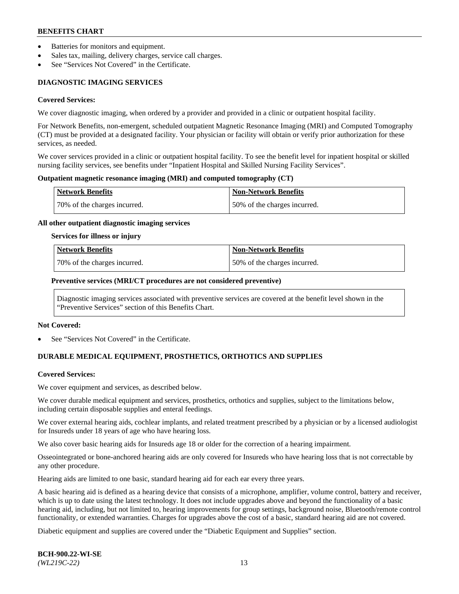- Batteries for monitors and equipment.
- Sales tax, mailing, delivery charges, service call charges.
- See "Services Not Covered" in the Certificate.

# **DIAGNOSTIC IMAGING SERVICES**

#### **Covered Services:**

We cover diagnostic imaging, when ordered by a provider and provided in a clinic or outpatient hospital facility.

For Network Benefits, non-emergent, scheduled outpatient Magnetic Resonance Imaging (MRI) and Computed Tomography (CT) must be provided at a designated facility. Your physician or facility will obtain or verify prior authorization for these services, as needed.

We cover services provided in a clinic or outpatient hospital facility. To see the benefit level for inpatient hospital or skilled nursing facility services, see benefits under "Inpatient Hospital and Skilled Nursing Facility Services".

### **Outpatient magnetic resonance imaging (MRI) and computed tomography (CT)**

| <b>Network Benefits</b>      | <b>Non-Network Benefits</b>  |
|------------------------------|------------------------------|
| 70% of the charges incurred. | 50% of the charges incurred. |

### **All other outpatient diagnostic imaging services**

#### **Services for illness or injury**

| Network Benefits             | <b>Non-Network Benefits</b>  |
|------------------------------|------------------------------|
| 70% of the charges incurred. | 50% of the charges incurred. |

### **Preventive services (MRI/CT procedures are not considered preventive)**

Diagnostic imaging services associated with preventive services are covered at the benefit level shown in the "Preventive Services" section of this Benefits Chart.

#### **Not Covered:**

See "Services Not Covered" in the Certificate.

# **DURABLE MEDICAL EQUIPMENT, PROSTHETICS, ORTHOTICS AND SUPPLIES**

#### **Covered Services:**

We cover equipment and services, as described below.

We cover durable medical equipment and services, prosthetics, orthotics and supplies, subject to the limitations below, including certain disposable supplies and enteral feedings.

We cover external hearing aids, cochlear implants, and related treatment prescribed by a physician or by a licensed audiologist for Insureds under 18 years of age who have hearing loss.

We also cover basic hearing aids for Insureds age 18 or older for the correction of a hearing impairment.

Osseointegrated or bone-anchored hearing aids are only covered for Insureds who have hearing loss that is not correctable by any other procedure.

Hearing aids are limited to one basic, standard hearing aid for each ear every three years.

A basic hearing aid is defined as a hearing device that consists of a microphone, amplifier, volume control, battery and receiver, which is up to date using the latest technology. It does not include upgrades above and beyond the functionality of a basic hearing aid, including, but not limited to, hearing improvements for group settings, background noise, Bluetooth/remote control functionality, or extended warranties. Charges for upgrades above the cost of a basic, standard hearing aid are not covered.

Diabetic equipment and supplies are covered under the "Diabetic Equipment and Supplies" section.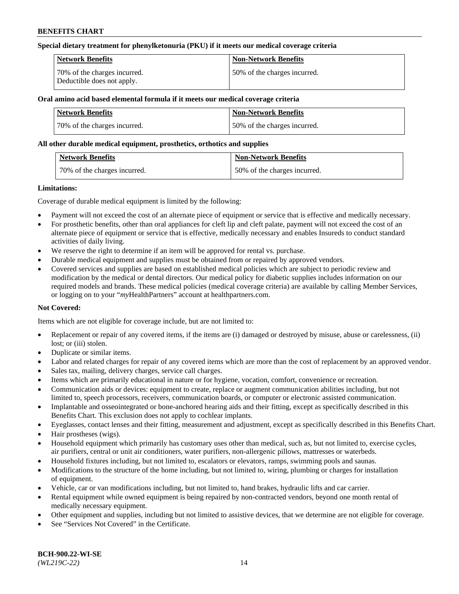### **Special dietary treatment for phenylketonuria (PKU) if it meets our medical coverage criteria**

| Network Benefits                                           | <b>Non-Network Benefits</b>  |
|------------------------------------------------------------|------------------------------|
| 70% of the charges incurred.<br>Deductible does not apply. | 50% of the charges incurred. |

## **Oral amino acid based elemental formula if it meets our medical coverage criteria**

| Network Benefits             | <b>Non-Network Benefits</b>  |
|------------------------------|------------------------------|
| 70% of the charges incurred. | 50% of the charges incurred. |

### **All other durable medical equipment, prosthetics, orthotics and supplies**

| <b>Network Benefits</b>      | <b>Non-Network Benefits</b>  |
|------------------------------|------------------------------|
| 70% of the charges incurred. | 50% of the charges incurred. |

### **Limitations:**

Coverage of durable medical equipment is limited by the following:

- Payment will not exceed the cost of an alternate piece of equipment or service that is effective and medically necessary.
- For prosthetic benefits, other than oral appliances for cleft lip and cleft palate, payment will not exceed the cost of an alternate piece of equipment or service that is effective, medically necessary and enables Insureds to conduct standard activities of daily living.
- We reserve the right to determine if an item will be approved for rental vs. purchase.
- Durable medical equipment and supplies must be obtained from or repaired by approved vendors.
- Covered services and supplies are based on established medical policies which are subject to periodic review and modification by the medical or dental directors. Our medical policy for diabetic supplies includes information on our required models and brands. These medical policies (medical coverage criteria) are available by calling Member Services, or logging on to your "*my*HealthPartners" account a[t healthpartners.com.](http://www.healthpartners.com/)

## **Not Covered:**

Items which are not eligible for coverage include, but are not limited to:

- Replacement or repair of any covered items, if the items are (i) damaged or destroyed by misuse, abuse or carelessness, (ii) lost; or (iii) stolen.
- Duplicate or similar items.
- Labor and related charges for repair of any covered items which are more than the cost of replacement by an approved vendor.
- Sales tax, mailing, delivery charges, service call charges.
- Items which are primarily educational in nature or for hygiene, vocation, comfort, convenience or recreation.
- Communication aids or devices: equipment to create, replace or augment communication abilities including, but not limited to, speech processors, receivers, communication boards, or computer or electronic assisted communication.
- Implantable and osseointegrated or bone-anchored hearing aids and their fitting, except as specifically described in this Benefits Chart. This exclusion does not apply to cochlear implants.
- Eyeglasses, contact lenses and their fitting, measurement and adjustment, except as specifically described in this Benefits Chart.
- Hair prostheses (wigs).
- Household equipment which primarily has customary uses other than medical, such as, but not limited to, exercise cycles, air purifiers, central or unit air conditioners, water purifiers, non-allergenic pillows, mattresses or waterbeds.
- Household fixtures including, but not limited to, escalators or elevators, ramps, swimming pools and saunas.
- Modifications to the structure of the home including, but not limited to, wiring, plumbing or charges for installation of equipment.
- Vehicle, car or van modifications including, but not limited to, hand brakes, hydraulic lifts and car carrier.
- Rental equipment while owned equipment is being repaired by non-contracted vendors, beyond one month rental of medically necessary equipment.
- Other equipment and supplies, including but not limited to assistive devices, that we determine are not eligible for coverage.
- See "Services Not Covered" in the Certificate.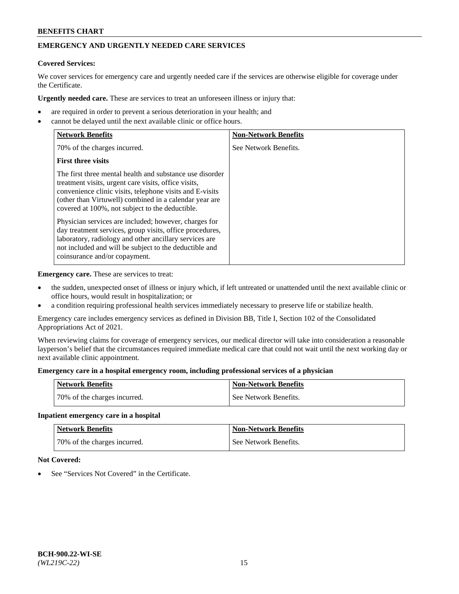# **EMERGENCY AND URGENTLY NEEDED CARE SERVICES**

# **Covered Services:**

We cover services for emergency care and urgently needed care if the services are otherwise eligible for coverage under the Certificate.

**Urgently needed care.** These are services to treat an unforeseen illness or injury that:

- are required in order to prevent a serious deterioration in your health; and
- cannot be delayed until the next available clinic or office hours.

| <b>Network Benefits</b>                                                                                                                                                                                                                                                                   | <b>Non-Network Benefits</b> |
|-------------------------------------------------------------------------------------------------------------------------------------------------------------------------------------------------------------------------------------------------------------------------------------------|-----------------------------|
| 70% of the charges incurred.                                                                                                                                                                                                                                                              | See Network Benefits.       |
| <b>First three visits</b>                                                                                                                                                                                                                                                                 |                             |
| The first three mental health and substance use disorder<br>treatment visits, urgent care visits, office visits,<br>convenience clinic visits, telephone visits and E-visits<br>(other than Virtuwell) combined in a calendar year are<br>covered at 100%, not subject to the deductible. |                             |
| Physician services are included; however, charges for<br>day treatment services, group visits, office procedures,<br>laboratory, radiology and other ancillary services are<br>not included and will be subject to the deductible and<br>coinsurance and/or copayment.                    |                             |

**Emergency care.** These are services to treat:

- the sudden, unexpected onset of illness or injury which, if left untreated or unattended until the next available clinic or office hours, would result in hospitalization; or
- a condition requiring professional health services immediately necessary to preserve life or stabilize health.

Emergency care includes emergency services as defined in Division BB, Title I, Section 102 of the Consolidated Appropriations Act of 2021.

When reviewing claims for coverage of emergency services, our medical director will take into consideration a reasonable layperson's belief that the circumstances required immediate medical care that could not wait until the next working day or next available clinic appointment.

### **Emergency care in a hospital emergency room, including professional services of a physician**

| <b>Network Benefits</b>      | <b>Non-Network Benefits</b> |
|------------------------------|-----------------------------|
| 70% of the charges incurred. | See Network Benefits.       |

#### **Inpatient emergency care in a hospital**

| <b>Network Benefits</b>      | Non-Network Benefits  |
|------------------------------|-----------------------|
| 70% of the charges incurred. | See Network Benefits. |

## **Not Covered:**

See "Services Not Covered" in the Certificate.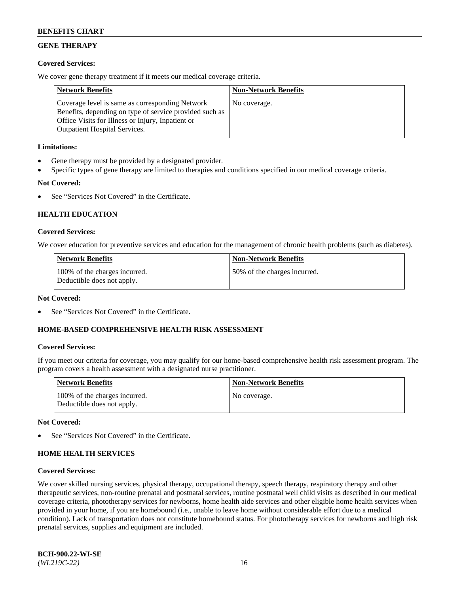# **GENE THERAPY**

## **Covered Services:**

We cover gene therapy treatment if it meets our medical coverage criteria.

| <b>Network Benefits</b>                                                                                                                                                                                 | <b>Non-Network Benefits</b> |
|---------------------------------------------------------------------------------------------------------------------------------------------------------------------------------------------------------|-----------------------------|
| Coverage level is same as corresponding Network<br>Benefits, depending on type of service provided such as<br>Office Visits for Illness or Injury, Inpatient or<br><b>Outpatient Hospital Services.</b> | No coverage.                |

## **Limitations:**

- Gene therapy must be provided by a designated provider.
- Specific types of gene therapy are limited to therapies and conditions specified in our medical coverage criteria.

# **Not Covered:**

See "Services Not Covered" in the Certificate.

## **HEALTH EDUCATION**

### **Covered Services:**

We cover education for preventive services and education for the management of chronic health problems (such as diabetes).

| Network Benefits                                            | <b>Non-Network Benefits</b>  |
|-------------------------------------------------------------|------------------------------|
| 100% of the charges incurred.<br>Deductible does not apply. | 50% of the charges incurred. |

#### **Not Covered:**

See "Services Not Covered" in the Certificate.

## **HOME-BASED COMPREHENSIVE HEALTH RISK ASSESSMENT**

#### **Covered Services:**

If you meet our criteria for coverage, you may qualify for our home-based comprehensive health risk assessment program. The program covers a health assessment with a designated nurse practitioner.

| <b>Network Benefits</b>                                     | <b>Non-Network Benefits</b> |
|-------------------------------------------------------------|-----------------------------|
| 100% of the charges incurred.<br>Deductible does not apply. | No coverage.                |

#### **Not Covered:**

See "Services Not Covered" in the Certificate.

## **HOME HEALTH SERVICES**

### **Covered Services:**

We cover skilled nursing services, physical therapy, occupational therapy, speech therapy, respiratory therapy and other therapeutic services, non-routine prenatal and postnatal services, routine postnatal well child visits as described in our medical coverage criteria, phototherapy services for newborns, home health aide services and other eligible home health services when provided in your home, if you are homebound (i.e., unable to leave home without considerable effort due to a medical condition). Lack of transportation does not constitute homebound status. For phototherapy services for newborns and high risk prenatal services, supplies and equipment are included.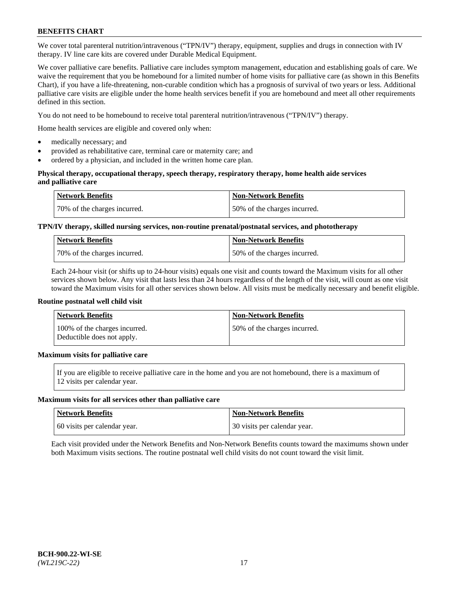We cover total parenteral nutrition/intravenous ("TPN/IV") therapy, equipment, supplies and drugs in connection with IV therapy. IV line care kits are covered under Durable Medical Equipment.

We cover palliative care benefits. Palliative care includes symptom management, education and establishing goals of care. We waive the requirement that you be homebound for a limited number of home visits for palliative care (as shown in this Benefits Chart), if you have a life-threatening, non-curable condition which has a prognosis of survival of two years or less. Additional palliative care visits are eligible under the home health services benefit if you are homebound and meet all other requirements defined in this section.

You do not need to be homebound to receive total parenteral nutrition/intravenous ("TPN/IV") therapy.

Home health services are eligible and covered only when:

- medically necessary; and
- provided as rehabilitative care, terminal care or maternity care; and
- ordered by a physician, and included in the written home care plan.

### **Physical therapy, occupational therapy, speech therapy, respiratory therapy, home health aide services and palliative care**

| <b>Network Benefits</b>      | <b>Non-Network Benefits</b>  |
|------------------------------|------------------------------|
| 70% of the charges incurred. | 50% of the charges incurred. |

# **TPN/IV therapy, skilled nursing services, non-routine prenatal/postnatal services, and phototherapy**

| <b>Network Benefits</b>      | <b>Non-Network Benefits</b>  |
|------------------------------|------------------------------|
| 70% of the charges incurred. | 50% of the charges incurred. |

Each 24-hour visit (or shifts up to 24-hour visits) equals one visit and counts toward the Maximum visits for all other services shown below. Any visit that lasts less than 24 hours regardless of the length of the visit, will count as one visit toward the Maximum visits for all other services shown below. All visits must be medically necessary and benefit eligible.

#### **Routine postnatal well child visit**

| <b>Network Benefits</b>                                     | <b>Non-Network Benefits</b>  |
|-------------------------------------------------------------|------------------------------|
| 100% of the charges incurred.<br>Deductible does not apply. | 50% of the charges incurred. |

# **Maximum visits for palliative care**

If you are eligible to receive palliative care in the home and you are not homebound, there is a maximum of 12 visits per calendar year.

#### **Maximum visits for all services other than palliative care**

| Network Benefits             | <b>Non-Network Benefits</b>  |
|------------------------------|------------------------------|
| 60 visits per calendar year. | 30 visits per calendar year. |

Each visit provided under the Network Benefits and Non-Network Benefits counts toward the maximums shown under both Maximum visits sections. The routine postnatal well child visits do not count toward the visit limit.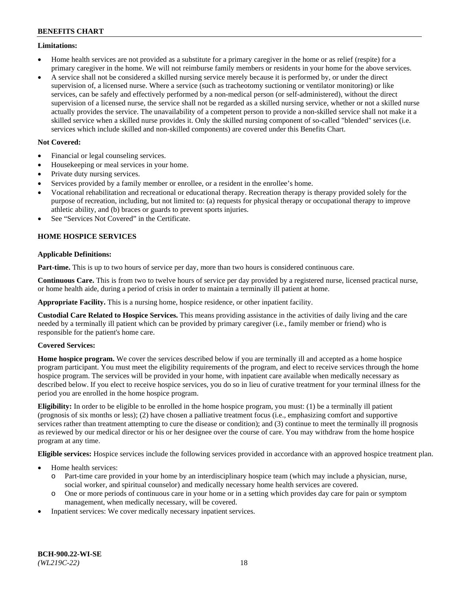### **Limitations:**

- Home health services are not provided as a substitute for a primary caregiver in the home or as relief (respite) for a primary caregiver in the home. We will not reimburse family members or residents in your home for the above services.
- A service shall not be considered a skilled nursing service merely because it is performed by, or under the direct supervision of, a licensed nurse. Where a service (such as tracheotomy suctioning or ventilator monitoring) or like services, can be safely and effectively performed by a non-medical person (or self-administered), without the direct supervision of a licensed nurse, the service shall not be regarded as a skilled nursing service, whether or not a skilled nurse actually provides the service. The unavailability of a competent person to provide a non-skilled service shall not make it a skilled service when a skilled nurse provides it. Only the skilled nursing component of so-called "blended" services (i.e. services which include skilled and non-skilled components) are covered under this Benefits Chart.

## **Not Covered:**

- Financial or legal counseling services.
- Housekeeping or meal services in your home.
- Private duty nursing services.
- Services provided by a family member or enrollee, or a resident in the enrollee's home.
- Vocational rehabilitation and recreational or educational therapy. Recreation therapy is therapy provided solely for the purpose of recreation, including, but not limited to: (a) requests for physical therapy or occupational therapy to improve athletic ability, and (b) braces or guards to prevent sports injuries.
- See "Services Not Covered" in the Certificate.

# **HOME HOSPICE SERVICES**

## **Applicable Definitions:**

**Part-time.** This is up to two hours of service per day, more than two hours is considered continuous care.

**Continuous Care.** This is from two to twelve hours of service per day provided by a registered nurse, licensed practical nurse, or home health aide, during a period of crisis in order to maintain a terminally ill patient at home.

**Appropriate Facility.** This is a nursing home, hospice residence, or other inpatient facility.

**Custodial Care Related to Hospice Services.** This means providing assistance in the activities of daily living and the care needed by a terminally ill patient which can be provided by primary caregiver (i.e., family member or friend) who is responsible for the patient's home care.

## **Covered Services:**

**Home hospice program.** We cover the services described below if you are terminally ill and accepted as a home hospice program participant. You must meet the eligibility requirements of the program, and elect to receive services through the home hospice program. The services will be provided in your home, with inpatient care available when medically necessary as described below. If you elect to receive hospice services, you do so in lieu of curative treatment for your terminal illness for the period you are enrolled in the home hospice program.

**Eligibility:** In order to be eligible to be enrolled in the home hospice program, you must: (1) be a terminally ill patient (prognosis of six months or less); (2) have chosen a palliative treatment focus (i.e., emphasizing comfort and supportive services rather than treatment attempting to cure the disease or condition); and (3) continue to meet the terminally ill prognosis as reviewed by our medical director or his or her designee over the course of care. You may withdraw from the home hospice program at any time.

**Eligible services:** Hospice services include the following services provided in accordance with an approved hospice treatment plan.

- Home health services:
	- o Part-time care provided in your home by an interdisciplinary hospice team (which may include a physician, nurse, social worker, and spiritual counselor) and medically necessary home health services are covered.
	- o One or more periods of continuous care in your home or in a setting which provides day care for pain or symptom management, when medically necessary, will be covered.
- Inpatient services: We cover medically necessary inpatient services.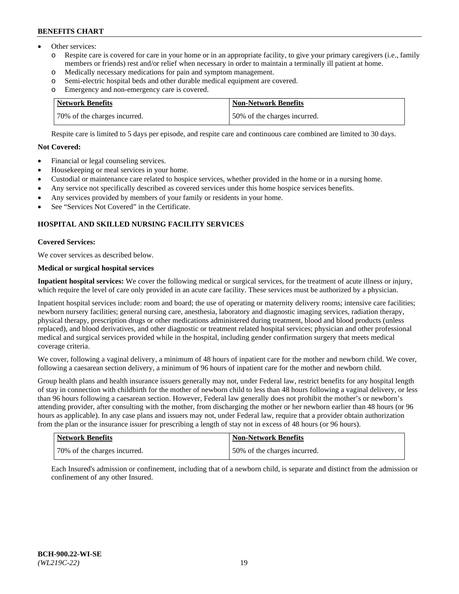- Other services:
	- o Respite care is covered for care in your home or in an appropriate facility, to give your primary caregivers (i.e., family members or friends) rest and/or relief when necessary in order to maintain a terminally ill patient at home.
	- o Medically necessary medications for pain and symptom management.
	- o Semi-electric hospital beds and other durable medical equipment are covered.
	- Emergency and non-emergency care is covered.

| Network Benefits             | Non-Network Benefits         |
|------------------------------|------------------------------|
| 70% of the charges incurred. | 50% of the charges incurred. |

Respite care is limited to 5 days per episode, and respite care and continuous care combined are limited to 30 days.

# **Not Covered:**

- Financial or legal counseling services.
- Housekeeping or meal services in your home.
- Custodial or maintenance care related to hospice services, whether provided in the home or in a nursing home.
- Any service not specifically described as covered services under this home hospice services benefits.
- Any services provided by members of your family or residents in your home.
- See "Services Not Covered" in the Certificate.

## **HOSPITAL AND SKILLED NURSING FACILITY SERVICES**

### **Covered Services:**

We cover services as described below.

# **Medical or surgical hospital services**

**Inpatient hospital services:** We cover the following medical or surgical services, for the treatment of acute illness or injury, which require the level of care only provided in an acute care facility. These services must be authorized by a physician.

Inpatient hospital services include: room and board; the use of operating or maternity delivery rooms; intensive care facilities; newborn nursery facilities; general nursing care, anesthesia, laboratory and diagnostic imaging services, radiation therapy, physical therapy, prescription drugs or other medications administered during treatment, blood and blood products (unless replaced), and blood derivatives, and other diagnostic or treatment related hospital services; physician and other professional medical and surgical services provided while in the hospital, including gender confirmation surgery that meets medical coverage criteria.

We cover, following a vaginal delivery, a minimum of 48 hours of inpatient care for the mother and newborn child. We cover, following a caesarean section delivery, a minimum of 96 hours of inpatient care for the mother and newborn child.

Group health plans and health insurance issuers generally may not, under Federal law, restrict benefits for any hospital length of stay in connection with childbirth for the mother of newborn child to less than 48 hours following a vaginal delivery, or less than 96 hours following a caesarean section. However, Federal law generally does not prohibit the mother's or newborn's attending provider, after consulting with the mother, from discharging the mother or her newborn earlier than 48 hours (or 96 hours as applicable). In any case plans and issuers may not, under Federal law, require that a provider obtain authorization from the plan or the insurance issuer for prescribing a length of stay not in excess of 48 hours (or 96 hours).

| <b>Network Benefits</b>      | <b>Non-Network Benefits</b>  |
|------------------------------|------------------------------|
| 70% of the charges incurred. | 50% of the charges incurred. |

Each Insured's admission or confinement, including that of a newborn child, is separate and distinct from the admission or confinement of any other Insured.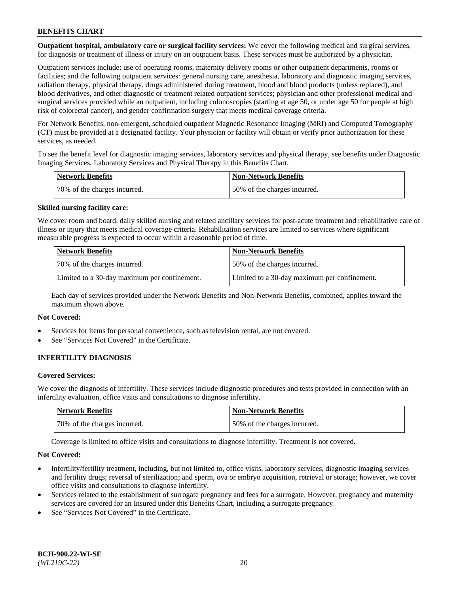**Outpatient hospital, ambulatory care or surgical facility services:** We cover the following medical and surgical services, for diagnosis or treatment of illness or injury on an outpatient basis. These services must be authorized by a physician.

Outpatient services include: use of operating rooms, maternity delivery rooms or other outpatient departments, rooms or facilities; and the following outpatient services: general nursing care, anesthesia, laboratory and diagnostic imaging services, radiation therapy, physical therapy, drugs administered during treatment, blood and blood products (unless replaced), and blood derivatives, and other diagnostic or treatment related outpatient services; physician and other professional medical and surgical services provided while an outpatient, including colonoscopies (starting at age 50, or under age 50 for people at high risk of colorectal cancer), and gender confirmation surgery that meets medical coverage criteria.

For Network Benefits, non-emergent, scheduled outpatient Magnetic Resonance Imaging (MRI) and Computed Tomography (CT) must be provided at a designated facility. Your physician or facility will obtain or verify prior authorization for these services, as needed.

To see the benefit level for diagnostic imaging services, laboratory services and physical therapy, see benefits under Diagnostic Imaging Services, Laboratory Services and Physical Therapy in this Benefits Chart.

| <b>Network Benefits</b>      | Non-Network Benefits          |
|------------------------------|-------------------------------|
| 70% of the charges incurred. | 150% of the charges incurred. |

### **Skilled nursing facility care:**

We cover room and board, daily skilled nursing and related ancillary services for post-acute treatment and rehabilitative care of illness or injury that meets medical coverage criteria. Rehabilitation services are limited to services where significant measurable progress is expected to occur within a reasonable period of time.

| Network Benefits                             | <b>Non-Network Benefits</b>                  |
|----------------------------------------------|----------------------------------------------|
| 70% of the charges incurred.                 | 50% of the charges incurred.                 |
| Limited to a 30-day maximum per confinement. | Limited to a 30-day maximum per confinement. |

Each day of services provided under the Network Benefits and Non-Network Benefits, combined, applies toward the maximum shown above.

#### **Not Covered:**

- Services for items for personal convenience, such as television rental, are not covered.
- See "Services Not Covered" in the Certificate.

## **INFERTILITY DIAGNOSIS**

### **Covered Services:**

We cover the diagnosis of infertility. These services include diagnostic procedures and tests provided in connection with an infertility evaluation, office visits and consultations to diagnose infertility.

| Network Benefits             | <b>Non-Network Benefits</b>  |
|------------------------------|------------------------------|
| 70% of the charges incurred. | 50% of the charges incurred. |

Coverage is limited to office visits and consultations to diagnose infertility. Treatment is not covered.

#### **Not Covered:**

- Infertility/fertility treatment, including, but not limited to, office visits, laboratory services, diagnostic imaging services and fertility drugs; reversal of sterilization; and sperm, ova or embryo acquisition, retrieval or storage; however, we cover office visits and consultations to diagnose infertility.
- Services related to the establishment of surrogate pregnancy and fees for a surrogate. However, pregnancy and maternity services are covered for an Insured under this Benefits Chart, including a surrogate pregnancy.
- See "Services Not Covered" in the Certificate.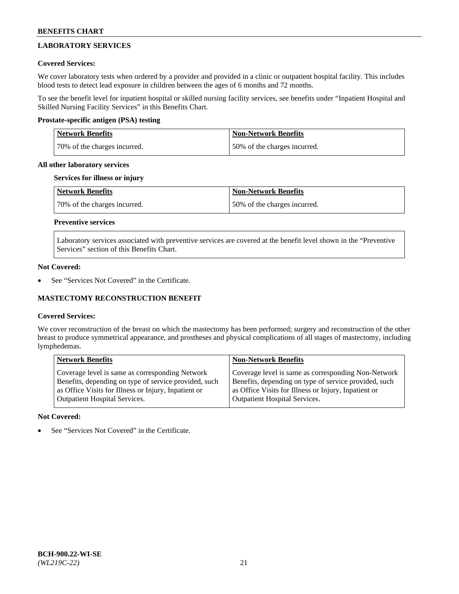# **LABORATORY SERVICES**

## **Covered Services:**

We cover laboratory tests when ordered by a provider and provided in a clinic or outpatient hospital facility. This includes blood tests to detect lead exposure in children between the ages of 6 months and 72 months.

To see the benefit level for inpatient hospital or skilled nursing facility services, see benefits under "Inpatient Hospital and Skilled Nursing Facility Services" in this Benefits Chart.

## **Prostate-specific antigen (PSA) testing**

| <b>Network Benefits</b>      | <b>Non-Network Benefits</b>  |
|------------------------------|------------------------------|
| 70% of the charges incurred. | 50% of the charges incurred. |

### **All other laboratory services**

### **Services for illness or injury**

| Network Benefits             | <b>Non-Network Benefits</b>  |
|------------------------------|------------------------------|
| 70% of the charges incurred. | 50% of the charges incurred. |

# **Preventive services**

Laboratory services associated with preventive services are covered at the benefit level shown in the "Preventive Services" section of this Benefits Chart.

### **Not Covered:**

See "Services Not Covered" in the Certificate.

## **MASTECTOMY RECONSTRUCTION BENEFIT**

## **Covered Services:**

We cover reconstruction of the breast on which the mastectomy has been performed; surgery and reconstruction of the other breast to produce symmetrical appearance, and prostheses and physical complications of all stages of mastectomy, including lymphedemas.

| <b>Network Benefits</b>                               | <b>Non-Network Benefits</b>                           |
|-------------------------------------------------------|-------------------------------------------------------|
| Coverage level is same as corresponding Network       | Coverage level is same as corresponding Non-Network   |
| Benefits, depending on type of service provided, such | Benefits, depending on type of service provided, such |
| as Office Visits for Illness or Injury, Inpatient or  | as Office Visits for Illness or Injury, Inpatient or  |
| <b>Outpatient Hospital Services.</b>                  | <b>Outpatient Hospital Services.</b>                  |

## **Not Covered:**

See "Services Not Covered" in the Certificate.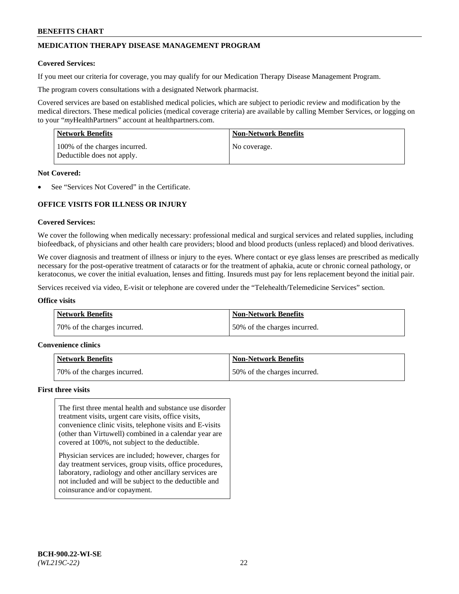# **MEDICATION THERAPY DISEASE MANAGEMENT PROGRAM**

### **Covered Services:**

If you meet our criteria for coverage, you may qualify for our Medication Therapy Disease Management Program.

The program covers consultations with a designated Network pharmacist.

Covered services are based on established medical policies, which are subject to periodic review and modification by the medical directors. These medical policies (medical coverage criteria) are available by calling Member Services, or logging on to your "*my*HealthPartners" account at [healthpartners.com.](http://www.healthpartners.com/)

| <b>Network Benefits</b>                                     | <b>Non-Network Benefits</b> |
|-------------------------------------------------------------|-----------------------------|
| 100% of the charges incurred.<br>Deductible does not apply. | No coverage.                |

### **Not Covered:**

See "Services Not Covered" in the Certificate.

# **OFFICE VISITS FOR ILLNESS OR INJURY**

#### **Covered Services:**

We cover the following when medically necessary: professional medical and surgical services and related supplies, including biofeedback, of physicians and other health care providers; blood and blood products (unless replaced) and blood derivatives.

We cover diagnosis and treatment of illness or injury to the eyes. Where contact or eye glass lenses are prescribed as medically necessary for the post-operative treatment of cataracts or for the treatment of aphakia, acute or chronic corneal pathology, or keratoconus, we cover the initial evaluation, lenses and fitting. Insureds must pay for lens replacement beyond the initial pair.

Services received via video, E-visit or telephone are covered under the "Telehealth/Telemedicine Services" section.

#### **Office visits**

| <b>Network Benefits</b>      | <b>Non-Network Benefits</b>  |
|------------------------------|------------------------------|
| 70% of the charges incurred. | 50% of the charges incurred. |

#### **Convenience clinics**

| Network Benefits             | <b>Non-Network Benefits</b>  |
|------------------------------|------------------------------|
| 70% of the charges incurred. | 50% of the charges incurred. |

#### **First three visits**

The first three mental health and substance use disorder treatment visits, urgent care visits, office visits, convenience clinic visits, telephone visits and E-visits (other than Virtuwell) combined in a calendar year are covered at 100%, not subject to the deductible.

Physician services are included; however, charges for day treatment services, group visits, office procedures, laboratory, radiology and other ancillary services are not included and will be subject to the deductible and coinsurance and/or copayment.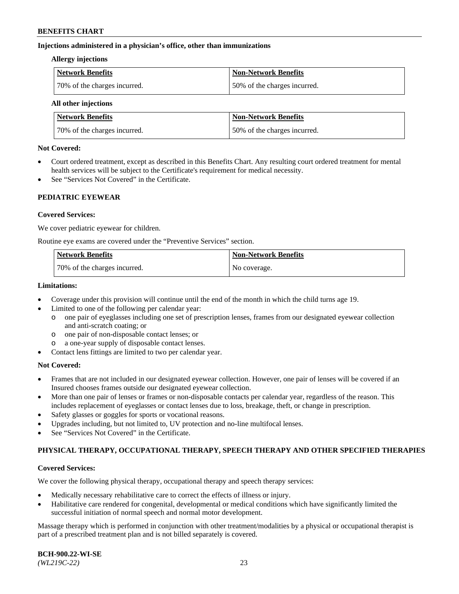### **Injections administered in a physician's office, other than immunizations**

#### **Allergy injections**

| Network Benefits             | <b>Non-Network Benefits</b>  |
|------------------------------|------------------------------|
| 70% of the charges incurred. | 50% of the charges incurred. |

#### **All other injections**

| <b>Network Benefits</b>      | <b>Non-Network Benefits</b>  |
|------------------------------|------------------------------|
| 70% of the charges incurred. | 50% of the charges incurred. |

### **Not Covered:**

- Court ordered treatment, except as described in this Benefits Chart. Any resulting court ordered treatment for mental health services will be subject to the Certificate's requirement for medical necessity.
- See "Services Not Covered" in the Certificate.

## **PEDIATRIC EYEWEAR**

### **Covered Services:**

We cover pediatric eyewear for children.

Routine eye exams are covered under the "Preventive Services" section.

| Network Benefits             | <b>Non-Network Benefits</b> |
|------------------------------|-----------------------------|
| 70% of the charges incurred. | No coverage.                |

### **Limitations:**

- Coverage under this provision will continue until the end of the month in which the child turns age 19.
- Limited to one of the following per calendar year:
	- o one pair of eyeglasses including one set of prescription lenses, frames from our designated eyewear collection and anti-scratch coating; or
	- o one pair of non-disposable contact lenses; or
	- o a one-year supply of disposable contact lenses.
- Contact lens fittings are limited to two per calendar year.

## **Not Covered:**

- Frames that are not included in our designated eyewear collection. However, one pair of lenses will be covered if an Insured chooses frames outside our designated eyewear collection.
- More than one pair of lenses or frames or non-disposable contacts per calendar year, regardless of the reason. This includes replacement of eyeglasses or contact lenses due to loss, breakage, theft, or change in prescription.
- Safety glasses or goggles for sports or vocational reasons.
- Upgrades including, but not limited to, UV protection and no-line multifocal lenses.
- See "Services Not Covered" in the Certificate.

## **PHYSICAL THERAPY, OCCUPATIONAL THERAPY, SPEECH THERAPY AND OTHER SPECIFIED THERAPIES**

## **Covered Services:**

We cover the following physical therapy, occupational therapy and speech therapy services:

- Medically necessary rehabilitative care to correct the effects of illness or injury.
- Habilitative care rendered for congenital, developmental or medical conditions which have significantly limited the successful initiation of normal speech and normal motor development.

Massage therapy which is performed in conjunction with other treatment/modalities by a physical or occupational therapist is part of a prescribed treatment plan and is not billed separately is covered.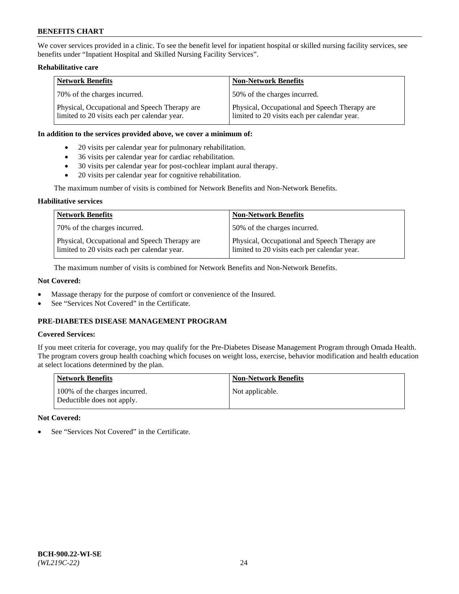We cover services provided in a clinic. To see the benefit level for inpatient hospital or skilled nursing facility services, see benefits under "Inpatient Hospital and Skilled Nursing Facility Services".

## **Rehabilitative care**

| <b>Network Benefits</b>                                                                       | <b>Non-Network Benefits</b>                                                                   |
|-----------------------------------------------------------------------------------------------|-----------------------------------------------------------------------------------------------|
| 70% of the charges incurred.                                                                  | 50% of the charges incurred.                                                                  |
| Physical, Occupational and Speech Therapy are<br>limited to 20 visits each per calendar year. | Physical, Occupational and Speech Therapy are<br>limited to 20 visits each per calendar year. |

### **In addition to the services provided above, we cover a minimum of:**

- 20 visits per calendar year for pulmonary rehabilitation.
- 36 visits per calendar year for cardiac rehabilitation.
- 30 visits per calendar year for post-cochlear implant aural therapy.
- 20 visits per calendar year for cognitive rehabilitation.

The maximum number of visits is combined for Network Benefits and Non-Network Benefits.

## **Habilitative services**

| <b>Network Benefits</b>                                                                       | <b>Non-Network Benefits</b>                                                                   |
|-----------------------------------------------------------------------------------------------|-----------------------------------------------------------------------------------------------|
| 70% of the charges incurred.                                                                  | 50% of the charges incurred.                                                                  |
| Physical, Occupational and Speech Therapy are<br>limited to 20 visits each per calendar year. | Physical, Occupational and Speech Therapy are<br>limited to 20 visits each per calendar year. |

The maximum number of visits is combined for Network Benefits and Non-Network Benefits.

## **Not Covered:**

- Massage therapy for the purpose of comfort or convenience of the Insured.
- See "Services Not Covered" in the Certificate.

# **PRE-DIABETES DISEASE MANAGEMENT PROGRAM**

## **Covered Services:**

If you meet criteria for coverage, you may qualify for the Pre-Diabetes Disease Management Program through Omada Health. The program covers group health coaching which focuses on weight loss, exercise, behavior modification and health education at select locations determined by the plan.

| <b>Network Benefits</b>                                     | <b>Non-Network Benefits</b> |
|-------------------------------------------------------------|-----------------------------|
| 100% of the charges incurred.<br>Deductible does not apply. | Not applicable.             |

## **Not Covered:**

See "Services Not Covered" in the Certificate.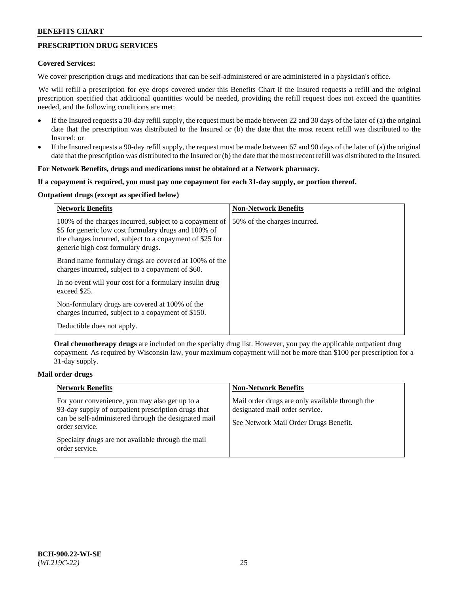# **PRESCRIPTION DRUG SERVICES**

### **Covered Services:**

We cover prescription drugs and medications that can be self-administered or are administered in a physician's office.

We will refill a prescription for eye drops covered under this Benefits Chart if the Insured requests a refill and the original prescription specified that additional quantities would be needed, providing the refill request does not exceed the quantities needed, and the following conditions are met:

- If the Insured requests a 30-day refill supply, the request must be made between 22 and 30 days of the later of (a) the original date that the prescription was distributed to the Insured or (b) the date that the most recent refill was distributed to the Insured; or
- If the Insured requests a 90-day refill supply, the request must be made between 67 and 90 days of the later of (a) the original date that the prescription was distributed to the Insured or (b) the date that the most recent refill was distributed to the Insured.

### **For Network Benefits, drugs and medications must be obtained at a Network pharmacy.**

### **If a copayment is required, you must pay one copayment for each 31-day supply, or portion thereof.**

# **Outpatient drugs (except as specified below)**

| <b>Network Benefits</b>                                                                                                                                                                                           | <b>Non-Network Benefits</b>  |
|-------------------------------------------------------------------------------------------------------------------------------------------------------------------------------------------------------------------|------------------------------|
| 100% of the charges incurred, subject to a copayment of<br>\$5 for generic low cost formulary drugs and 100% of<br>the charges incurred, subject to a copayment of \$25 for<br>generic high cost formulary drugs. | 50% of the charges incurred. |
| Brand name formulary drugs are covered at 100% of the<br>charges incurred, subject to a copayment of \$60.                                                                                                        |                              |
| In no event will your cost for a formulary insulin drug<br>exceed \$25.                                                                                                                                           |                              |
| Non-formulary drugs are covered at 100% of the<br>charges incurred, subject to a copayment of \$150.                                                                                                              |                              |
| Deductible does not apply.                                                                                                                                                                                        |                              |

**Oral chemotherapy drugs** are included on the specialty drug list. However, you pay the applicable outpatient drug copayment. As required by Wisconsin law, your maximum copayment will not be more than \$100 per prescription for a 31-day supply.

## **Mail order drugs**

| <b>Network Benefits</b>                                                                                                                                                         | <b>Non-Network Benefits</b>                                                                                                |
|---------------------------------------------------------------------------------------------------------------------------------------------------------------------------------|----------------------------------------------------------------------------------------------------------------------------|
| For your convenience, you may also get up to a<br>93-day supply of outpatient prescription drugs that<br>can be self-administered through the designated mail<br>order service. | Mail order drugs are only available through the<br>designated mail order service.<br>See Network Mail Order Drugs Benefit. |
| Specialty drugs are not available through the mail<br>order service.                                                                                                            |                                                                                                                            |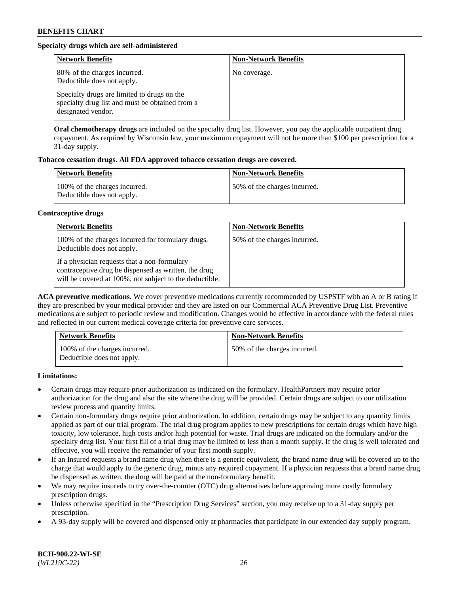# **Specialty drugs which are self-administered**

| <b>Network Benefits</b>                                                                                              | <b>Non-Network Benefits</b> |
|----------------------------------------------------------------------------------------------------------------------|-----------------------------|
| 80% of the charges incurred.<br>Deductible does not apply.                                                           | No coverage.                |
| Specialty drugs are limited to drugs on the<br>specialty drug list and must be obtained from a<br>designated vendor. |                             |

**Oral chemotherapy drugs** are included on the specialty drug list. However, you pay the applicable outpatient drug copayment. As required by Wisconsin law, your maximum copayment will not be more than \$100 per prescription for a 31-day supply.

## **Tobacco cessation drugs. All FDA approved tobacco cessation drugs are covered.**

| <b>Network Benefits</b>                                     | <b>Non-Network Benefits</b>  |
|-------------------------------------------------------------|------------------------------|
| 100% of the charges incurred.<br>Deductible does not apply. | 50% of the charges incurred. |

### **Contraceptive drugs**

| <b>Network Benefits</b>                                                                                                                                         | <b>Non-Network Benefits</b>  |
|-----------------------------------------------------------------------------------------------------------------------------------------------------------------|------------------------------|
| 100% of the charges incurred for formulary drugs.<br>Deductible does not apply.                                                                                 | 50% of the charges incurred. |
| If a physician requests that a non-formulary<br>contraceptive drug be dispensed as written, the drug<br>will be covered at 100%, not subject to the deductible. |                              |

**ACA preventive medications.** We cover preventive medications currently recommended by USPSTF with an A or B rating if they are prescribed by your medical provider and they are listed on our Commercial ACA Preventive Drug List. Preventive medications are subject to periodic review and modification. Changes would be effective in accordance with the federal rules and reflected in our current medical coverage criteria for preventive care services.

| <b>Network Benefits</b>                                     | <b>Non-Network Benefits</b>  |
|-------------------------------------------------------------|------------------------------|
| 100% of the charges incurred.<br>Deductible does not apply. | 50% of the charges incurred. |

**Limitations:**

- Certain drugs may require prior authorization as indicated on the formulary. HealthPartners may require prior authorization for the drug and also the site where the drug will be provided. Certain drugs are subject to our utilization review process and quantity limits.
- Certain non-formulary drugs require prior authorization. In addition, certain drugs may be subject to any quantity limits applied as part of our trial program. The trial drug program applies to new prescriptions for certain drugs which have high toxicity, low tolerance, high costs and/or high potential for waste. Trial drugs are indicated on the formulary and/or the specialty drug list. Your first fill of a trial drug may be limited to less than a month supply. If the drug is well tolerated and effective, you will receive the remainder of your first month supply.
- If an Insured requests a brand name drug when there is a generic equivalent, the brand name drug will be covered up to the charge that would apply to the generic drug, minus any required copayment. If a physician requests that a brand name drug be dispensed as written, the drug will be paid at the non-formulary benefit.
- We may require insureds to try over-the-counter (OTC) drug alternatives before approving more costly formulary prescription drugs.
- Unless otherwise specified in the "Prescription Drug Services" section, you may receive up to a 31-day supply per prescription.
- A 93-day supply will be covered and dispensed only at pharmacies that participate in our extended day supply program.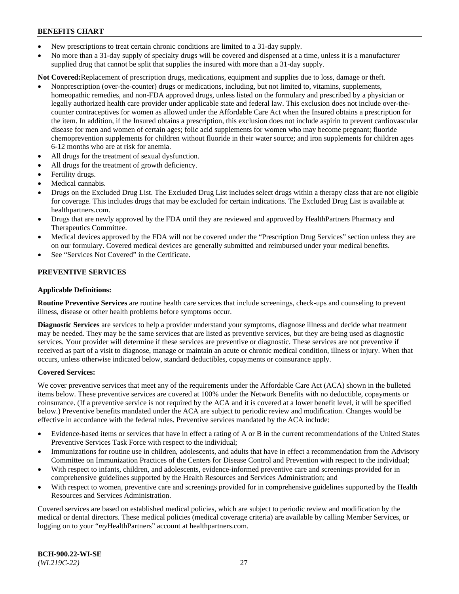- New prescriptions to treat certain chronic conditions are limited to a 31-day supply.
- No more than a 31-day supply of specialty drugs will be covered and dispensed at a time, unless it is a manufacturer supplied drug that cannot be split that supplies the insured with more than a 31-day supply.

**Not Covered:**Replacement of prescription drugs, medications, equipment and supplies due to loss, damage or theft.

- Nonprescription (over-the-counter) drugs or medications, including, but not limited to, vitamins, supplements, homeopathic remedies, and non-FDA approved drugs, unless listed on the formulary and prescribed by a physician or legally authorized health care provider under applicable state and federal law. This exclusion does not include over-thecounter contraceptives for women as allowed under the Affordable Care Act when the Insured obtains a prescription for the item. In addition, if the Insured obtains a prescription, this exclusion does not include aspirin to prevent cardiovascular disease for men and women of certain ages; folic acid supplements for women who may become pregnant; fluoride chemoprevention supplements for children without fluoride in their water source; and iron supplements for children ages 6-12 months who are at risk for anemia.
- All drugs for the treatment of sexual dysfunction.
- All drugs for the treatment of growth deficiency.
- Fertility drugs.
- Medical cannabis.
- Drugs on the Excluded Drug List. The Excluded Drug List includes select drugs within a therapy class that are not eligible for coverage. This includes drugs that may be excluded for certain indications. The Excluded Drug List is available at [healthpartners.com.](http://www.healthpartners.com/)
- Drugs that are newly approved by the FDA until they are reviewed and approved by HealthPartners Pharmacy and Therapeutics Committee.
- Medical devices approved by the FDA will not be covered under the "Prescription Drug Services" section unless they are on our formulary. Covered medical devices are generally submitted and reimbursed under your medical benefits.
- See "Services Not Covered" in the Certificate.

## **PREVENTIVE SERVICES**

### **Applicable Definitions:**

**Routine Preventive Services** are routine health care services that include screenings, check-ups and counseling to prevent illness, disease or other health problems before symptoms occur.

**Diagnostic Services** are services to help a provider understand your symptoms, diagnose illness and decide what treatment may be needed. They may be the same services that are listed as preventive services, but they are being used as diagnostic services. Your provider will determine if these services are preventive or diagnostic. These services are not preventive if received as part of a visit to diagnose, manage or maintain an acute or chronic medical condition, illness or injury. When that occurs, unless otherwise indicated below, standard deductibles, copayments or coinsurance apply.

#### **Covered Services:**

We cover preventive services that meet any of the requirements under the Affordable Care Act (ACA) shown in the bulleted items below. These preventive services are covered at 100% under the Network Benefits with no deductible, copayments or coinsurance. (If a preventive service is not required by the ACA and it is covered at a lower benefit level, it will be specified below.) Preventive benefits mandated under the ACA are subject to periodic review and modification. Changes would be effective in accordance with the federal rules. Preventive services mandated by the ACA include:

- Evidence-based items or services that have in effect a rating of A or B in the current recommendations of the United States Preventive Services Task Force with respect to the individual;
- Immunizations for routine use in children, adolescents, and adults that have in effect a recommendation from the Advisory Committee on Immunization Practices of the Centers for Disease Control and Prevention with respect to the individual;
- With respect to infants, children, and adolescents, evidence-informed preventive care and screenings provided for in comprehensive guidelines supported by the Health Resources and Services Administration; and
- With respect to women, preventive care and screenings provided for in comprehensive guidelines supported by the Health Resources and Services Administration.

Covered services are based on established medical policies, which are subject to periodic review and modification by the medical or dental directors. These medical policies (medical coverage criteria) are available by calling Member Services, or logging on to your "*my*HealthPartners" account at [healthpartners.com.](https://www.healthpartners.com/hp/index.html)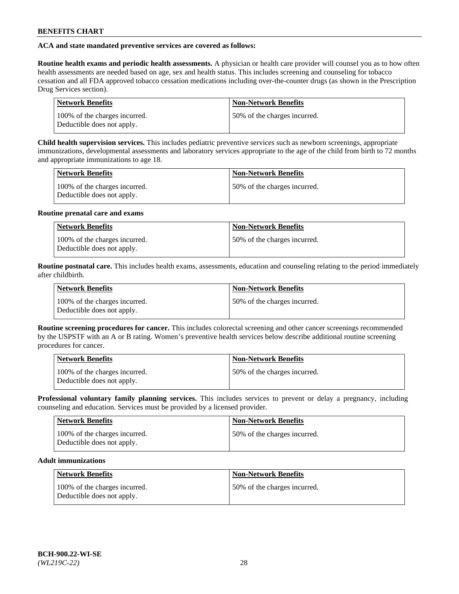## **ACA and state mandated preventive services are covered as follows:**

**Routine health exams and periodic health assessments.** A physician or health care provider will counsel you as to how often health assessments are needed based on age, sex and health status. This includes screening and counseling for tobacco cessation and all FDA approved tobacco cessation medications including over-the-counter drugs (as shown in the Prescription Drug Services section).

| <b>Network Benefits</b>                                     | <b>Non-Network Benefits</b>   |
|-------------------------------------------------------------|-------------------------------|
| 100% of the charges incurred.<br>Deductible does not apply. | 150% of the charges incurred. |

**Child health supervision services.** This includes pediatric preventive services such as newborn screenings, appropriate immunizations, developmental assessments and laboratory services appropriate to the age of the child from birth to 72 months and appropriate immunizations to age 18.

| <b>Network Benefits</b>                                     | <b>Non-Network Benefits</b>  |
|-------------------------------------------------------------|------------------------------|
| 100% of the charges incurred.<br>Deductible does not apply. | 50% of the charges incurred. |

### **Routine prenatal care and exams**

| <b>Network Benefits</b>                                     | <b>Non-Network Benefits</b>  |
|-------------------------------------------------------------|------------------------------|
| 100% of the charges incurred.<br>Deductible does not apply. | 50% of the charges incurred. |

**Routine postnatal care.** This includes health exams, assessments, education and counseling relating to the period immediately after childbirth.

| <b>Network Benefits</b>                                     | <b>Non-Network Benefits</b>  |
|-------------------------------------------------------------|------------------------------|
| 100% of the charges incurred.<br>Deductible does not apply. | 50% of the charges incurred. |

**Routine screening procedures for cancer.** This includes colorectal screening and other cancer screenings recommended by the USPSTF with an A or B rating. Women's preventive health services below describe additional routine screening procedures for cancer.

| <b>Network Benefits</b>                                     | <b>Non-Network Benefits</b>   |
|-------------------------------------------------------------|-------------------------------|
| 100% of the charges incurred.<br>Deductible does not apply. | 150% of the charges incurred. |

**Professional voluntary family planning services.** This includes services to prevent or delay a pregnancy, including counseling and education. Services must be provided by a licensed provider.

| <b>Network Benefits</b>                                     | <b>Non-Network Benefits</b>  |
|-------------------------------------------------------------|------------------------------|
| 100% of the charges incurred.<br>Deductible does not apply. | 50% of the charges incurred. |

# **Adult immunizations**

| Network Benefits                                            | <b>Non-Network Benefits</b>  |
|-------------------------------------------------------------|------------------------------|
| 100% of the charges incurred.<br>Deductible does not apply. | 50% of the charges incurred. |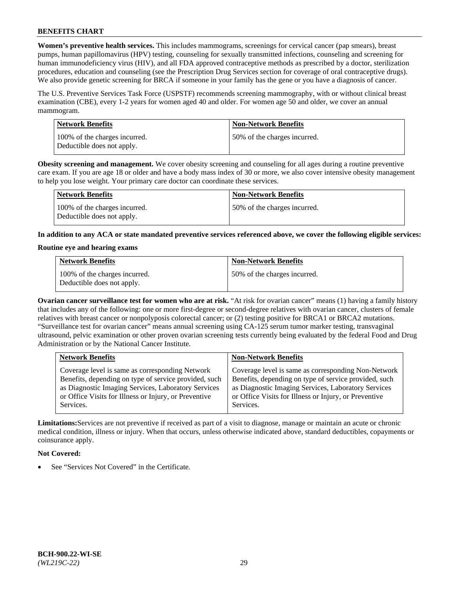**Women's preventive health services.** This includes mammograms, screenings for cervical cancer (pap smears), breast pumps, human papillomavirus (HPV) testing, counseling for sexually transmitted infections, counseling and screening for human immunodeficiency virus (HIV), and all FDA approved contraceptive methods as prescribed by a doctor, sterilization procedures, education and counseling (see the Prescription Drug Services section for coverage of oral contraceptive drugs). We also provide genetic screening for BRCA if someone in your family has the gene or you have a diagnosis of cancer.

The U.S. Preventive Services Task Force (USPSTF) recommends screening mammography, with or without clinical breast examination (CBE), every 1-2 years for women aged 40 and older. For women age 50 and older, we cover an annual mammogram.

| <b>Network Benefits</b>                                     | <b>Non-Network Benefits</b>  |
|-------------------------------------------------------------|------------------------------|
| 100% of the charges incurred.<br>Deductible does not apply. | 50% of the charges incurred. |

**Obesity screening and management.** We cover obesity screening and counseling for all ages during a routine preventive care exam. If you are age 18 or older and have a body mass index of 30 or more, we also cover intensive obesity management to help you lose weight. Your primary care doctor can coordinate these services.

| Network Benefits                                            | <b>Non-Network Benefits</b>  |
|-------------------------------------------------------------|------------------------------|
| 100% of the charges incurred.<br>Deductible does not apply. | 50% of the charges incurred. |

**In addition to any ACA or state mandated preventive services referenced above, we cover the following eligible services:**

### **Routine eye and hearing exams**

| <b>Network Benefits</b>                                     | <b>Non-Network Benefits</b>  |
|-------------------------------------------------------------|------------------------------|
| 100% of the charges incurred.<br>Deductible does not apply. | 50% of the charges incurred. |

**Ovarian cancer surveillance test for women who are at risk.** "At risk for ovarian cancer" means (1) having a family history that includes any of the following: one or more first-degree or second-degree relatives with ovarian cancer, clusters of female relatives with breast cancer or nonpolyposis colorectal cancer; or (2) testing positive for BRCA1 or BRCA2 mutations. "Surveillance test for ovarian cancer" means annual screening using CA-125 serum tumor marker testing, transvaginal ultrasound, pelvic examination or other proven ovarian screening tests currently being evaluated by the federal Food and Drug Administration or by the National Cancer Institute.

| <b>Network Benefits</b>                               | <b>Non-Network Benefits</b>                           |
|-------------------------------------------------------|-------------------------------------------------------|
| Coverage level is same as corresponding Network       | Coverage level is same as corresponding Non-Network   |
| Benefits, depending on type of service provided, such | Benefits, depending on type of service provided, such |
| as Diagnostic Imaging Services, Laboratory Services   | as Diagnostic Imaging Services, Laboratory Services   |
| or Office Visits for Illness or Injury, or Preventive | or Office Visits for Illness or Injury, or Preventive |
| Services.                                             | Services.                                             |

**Limitations:**Services are not preventive if received as part of a visit to diagnose, manage or maintain an acute or chronic medical condition, illness or injury. When that occurs, unless otherwise indicated above, standard deductibles, copayments or coinsurance apply.

## **Not Covered:**

See "Services Not Covered" in the Certificate.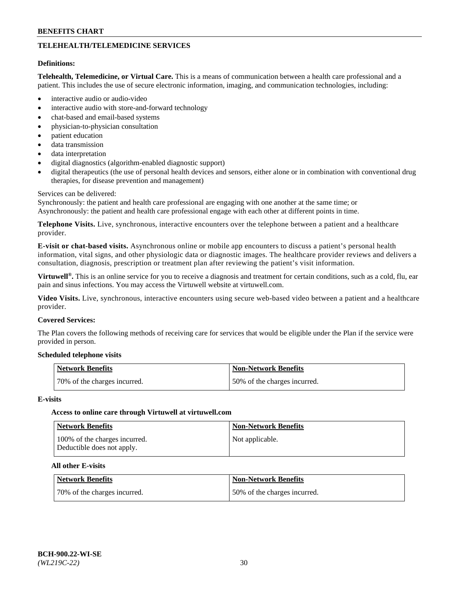# **TELEHEALTH/TELEMEDICINE SERVICES**

#### **Definitions:**

**Telehealth, Telemedicine, or Virtual Care.** This is a means of communication between a health care professional and a patient. This includes the use of secure electronic information, imaging, and communication technologies, including:

- interactive audio or audio-video
- interactive audio with store-and-forward technology
- chat-based and email-based systems
- physician-to-physician consultation
- patient education
- data transmission
- data interpretation
- digital diagnostics (algorithm-enabled diagnostic support)
- digital therapeutics (the use of personal health devices and sensors, either alone or in combination with conventional drug therapies, for disease prevention and management)

#### Services can be delivered:

Synchronously: the patient and health care professional are engaging with one another at the same time; or Asynchronously: the patient and health care professional engage with each other at different points in time.

**Telephone Visits.** Live, synchronous, interactive encounters over the telephone between a patient and a healthcare provider.

**E-visit or chat-based visits.** Asynchronous online or mobile app encounters to discuss a patient's personal health information, vital signs, and other physiologic data or diagnostic images. The healthcare provider reviews and delivers a consultation, diagnosis, prescription or treatment plan after reviewing the patient's visit information.

**Virtuwell®.** This is an online service for you to receive a diagnosis and treatment for certain conditions, such as a cold, flu, ear pain and sinus infections. You may access the Virtuwell website at [virtuwell.com.](https://www.virtuwell.com/)

**Video Visits.** Live, synchronous, interactive encounters using secure web-based video between a patient and a healthcare provider.

### **Covered Services:**

The Plan covers the following methods of receiving care for services that would be eligible under the Plan if the service were provided in person.

#### **Scheduled telephone visits**

| Network Benefits             | Non-Network Benefits         |
|------------------------------|------------------------------|
| 70% of the charges incurred. | 50% of the charges incurred. |

#### **E-visits**

## **Access to online care through Virtuwell at [virtuwell.com](https://www.virtuwell.com/)**

| <b>Network Benefits</b>                                     | <b>Non-Network Benefits</b> |
|-------------------------------------------------------------|-----------------------------|
| 100% of the charges incurred.<br>Deductible does not apply. | Not applicable.             |

## **All other E-visits**

| Network Benefits             | <b>Non-Network Benefits</b>  |
|------------------------------|------------------------------|
| 70% of the charges incurred. | 50% of the charges incurred. |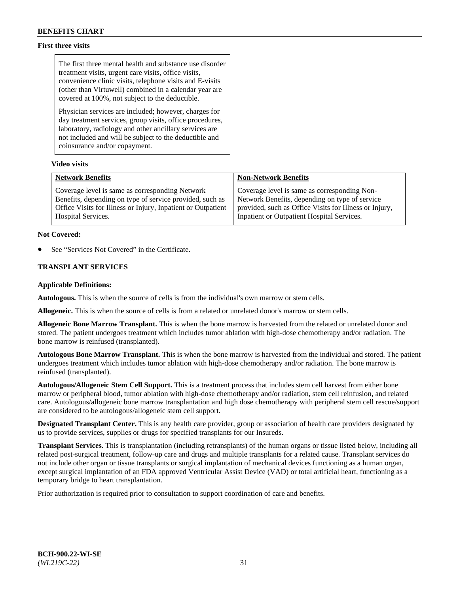## **First three visits**

The first three mental health and substance use disorder treatment visits, urgent care visits, office visits, convenience clinic visits, telephone visits and E-visits (other than Virtuwell) combined in a calendar year are covered at 100%, not subject to the deductible.

Physician services are included; however, charges for day treatment services, group visits, office procedures, laboratory, radiology and other ancillary services are not included and will be subject to the deductible and coinsurance and/or copayment.

## **Video visits**

| <b>Network Benefits</b>                                      | <b>Non-Network Benefits</b>                            |
|--------------------------------------------------------------|--------------------------------------------------------|
| Coverage level is same as corresponding Network              | Coverage level is same as corresponding Non-           |
| Benefits, depending on type of service provided, such as     | Network Benefits, depending on type of service         |
| Office Visits for Illness or Injury, Inpatient or Outpatient | provided, such as Office Visits for Illness or Injury, |
| Hospital Services.                                           | Inpatient or Outpatient Hospital Services.             |

### **Not Covered:**

See "Services Not Covered" in the Certificate.

## **TRANSPLANT SERVICES**

### **Applicable Definitions:**

**Autologous.** This is when the source of cells is from the individual's own marrow or stem cells.

**Allogeneic.** This is when the source of cells is from a related or unrelated donor's marrow or stem cells.

**Allogeneic Bone Marrow Transplant.** This is when the bone marrow is harvested from the related or unrelated donor and stored. The patient undergoes treatment which includes tumor ablation with high-dose chemotherapy and/or radiation. The bone marrow is reinfused (transplanted).

**Autologous Bone Marrow Transplant.** This is when the bone marrow is harvested from the individual and stored. The patient undergoes treatment which includes tumor ablation with high-dose chemotherapy and/or radiation. The bone marrow is reinfused (transplanted).

**Autologous/Allogeneic Stem Cell Support.** This is a treatment process that includes stem cell harvest from either bone marrow or peripheral blood, tumor ablation with high-dose chemotherapy and/or radiation, stem cell reinfusion, and related care. Autologous/allogeneic bone marrow transplantation and high dose chemotherapy with peripheral stem cell rescue/support are considered to be autologous/allogeneic stem cell support.

**Designated Transplant Center.** This is any health care provider, group or association of health care providers designated by us to provide services, supplies or drugs for specified transplants for our Insureds.

**Transplant Services.** This is transplantation (including retransplants) of the human organs or tissue listed below, including all related post-surgical treatment, follow-up care and drugs and multiple transplants for a related cause. Transplant services do not include other organ or tissue transplants or surgical implantation of mechanical devices functioning as a human organ, except surgical implantation of an FDA approved Ventricular Assist Device (VAD) or total artificial heart, functioning as a temporary bridge to heart transplantation.

Prior authorization is required prior to consultation to support coordination of care and benefits.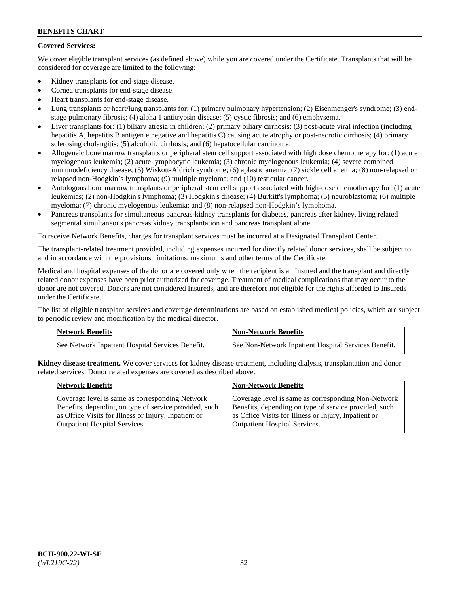## **Covered Services:**

We cover eligible transplant services (as defined above) while you are covered under the Certificate. Transplants that will be considered for coverage are limited to the following:

- Kidney transplants for end-stage disease.
- Cornea transplants for end-stage disease.
- Heart transplants for end-stage disease.
- Lung transplants or heart/lung transplants for: (1) primary pulmonary hypertension; (2) Eisenmenger's syndrome; (3) endstage pulmonary fibrosis; (4) alpha 1 antitrypsin disease; (5) cystic fibrosis; and (6) emphysema.
- Liver transplants for: (1) biliary atresia in children; (2) primary biliary cirrhosis; (3) post-acute viral infection (including hepatitis A, hepatitis B antigen e negative and hepatitis C) causing acute atrophy or post-necrotic cirrhosis; (4) primary sclerosing cholangitis; (5) alcoholic cirrhosis; and (6) hepatocellular carcinoma.
- Allogeneic bone marrow transplants or peripheral stem cell support associated with high dose chemotherapy for: (1) acute myelogenous leukemia; (2) acute lymphocytic leukemia; (3) chronic myelogenous leukemia; (4) severe combined immunodeficiency disease; (5) Wiskott-Aldrich syndrome; (6) aplastic anemia; (7) sickle cell anemia; (8) non-relapsed or relapsed non-Hodgkin's lymphoma; (9) multiple myeloma; and (10) testicular cancer.
- Autologous bone marrow transplants or peripheral stem cell support associated with high-dose chemotherapy for: (1) acute leukemias; (2) non-Hodgkin's lymphoma; (3) Hodgkin's disease; (4) Burkitt's lymphoma; (5) neuroblastoma; (6) multiple myeloma; (7) chronic myelogenous leukemia; and (8) non-relapsed non-Hodgkin's lymphoma.
- Pancreas transplants for simultaneous pancreas-kidney transplants for diabetes, pancreas after kidney, living related segmental simultaneous pancreas kidney transplantation and pancreas transplant alone.

To receive Network Benefits, charges for transplant services must be incurred at a Designated Transplant Center.

The transplant-related treatment provided, including expenses incurred for directly related donor services, shall be subject to and in accordance with the provisions, limitations, maximums and other terms of the Certificate.

Medical and hospital expenses of the donor are covered only when the recipient is an Insured and the transplant and directly related donor expenses have been prior authorized for coverage. Treatment of medical complications that may occur to the donor are not covered. Donors are not considered Insureds, and are therefore not eligible for the rights afforded to Insureds under the Certificate.

The list of eligible transplant services and coverage determinations are based on established medical policies, which are subject to periodic review and modification by the medical director.

| <b>Network Benefits</b>                          | <b>Non-Network Benefits</b>                          |
|--------------------------------------------------|------------------------------------------------------|
| See Network Inpatient Hospital Services Benefit. | See Non-Network Inpatient Hospital Services Benefit. |

**Kidney disease treatment.** We cover services for kidney disease treatment, including dialysis, transplantation and donor related services. Donor related expenses are covered as described above.

| <b>Network Benefits</b>                               | <b>Non-Network Benefits</b>                           |
|-------------------------------------------------------|-------------------------------------------------------|
| Coverage level is same as corresponding Network       | Coverage level is same as corresponding Non-Network   |
| Benefits, depending on type of service provided, such | Benefits, depending on type of service provided, such |
| as Office Visits for Illness or Injury, Inpatient or  | as Office Visits for Illness or Injury, Inpatient or  |
| <b>Outpatient Hospital Services.</b>                  | <b>Outpatient Hospital Services.</b>                  |